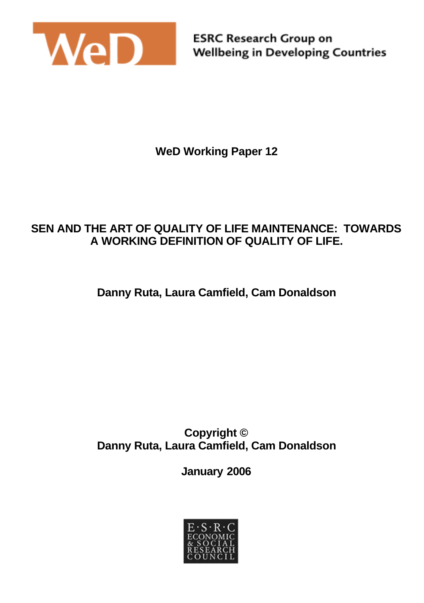

**WeD Working Paper 12**

### **SEN AND THE ART OF QUALITY OF LIFE MAINTENANCE: TOWARDS A WORKING DEFINITION OF QUALITY OF LIFE.**

**Danny Ruta, Laura Camfield, Cam Donaldson**

**Copyright © Danny Ruta, Laura Camfield, Cam Donaldson**

**January 2006**

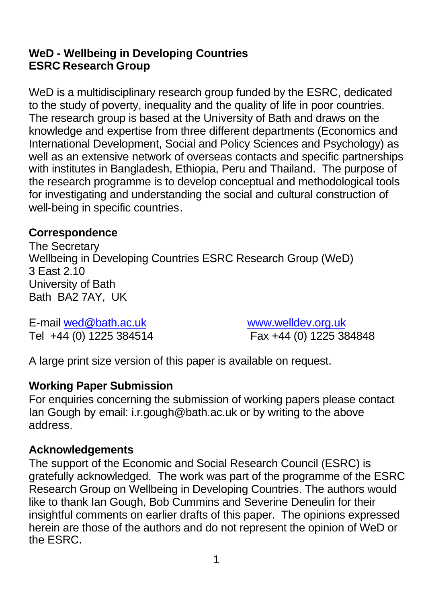### **WeD - Wellbeing in Developing Countries ESRC Research Group**

WeD is a multidisciplinary research group funded by the ESRC, dedicated to the study of poverty, inequality and the quality of life in poor countries. The research group is based at the University of Bath and draws on the knowledge and expertise from three different departments (Economics and International Development, Social and Policy Sciences and Psychology) as well as an extensive network of overseas contacts and specific partnerships with institutes in Bangladesh, Ethiopia, Peru and Thailand. The purpose of the research programme is to develop conceptual and methodological tools for investigating and understanding the social and cultural construction of well-being in specific countries.

### **Correspondence**

The Secretary Wellbeing in Developing Countries ESRC Research Group (WeD) 3 East 2.10 University of Bath Bath BA2 7AY, UK

E-mail wed@bath.ac.uk www.welldev.org.uk

Tel +44 (0) 1225 384514 Fax +44 (0) 1225 384848

A large print size version of this paper is available on request.

### **Working Paper Submission**

For enquiries concerning the submission of working papers please contact Ian Gough by email: i.r.gough@bath.ac.uk or by writing to the above address.

#### **Acknowledgements**

The support of the Economic and Social Research Council (ESRC) is gratefully acknowledged. The work was part of the programme of the ESRC Research Group on Wellbeing in Developing Countries. The authors would like to thank Ian Gough, Bob Cummins and Severine Deneulin for their insightful comments on earlier drafts of this paper. The opinions expressed herein are those of the authors and do not represent the opinion of WeD or the ESRC.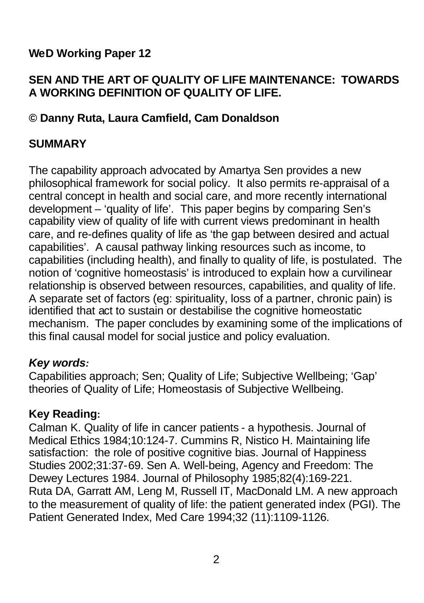# **WeD Working Paper 12**

# **SEN AND THE ART OF QUALITY OF LIFE MAINTENANCE: TOWARDS A WORKING DEFINITION OF QUALITY OF LIFE.**

# **© Danny Ruta, Laura Camfield, Cam Donaldson**

# **SUMMARY**

The capability approach advocated by Amartya Sen provides a new philosophical framework for social policy. It also permits re-appraisal of a central concept in health and social care, and more recently international development – 'quality of life'. This paper begins by comparing Sen's capability view of quality of life with current views predominant in health care, and re-defines quality of life as 'the gap between desired and actual capabilities'. A causal pathway linking resources such as income, to capabilities (including health), and finally to quality of life, is postulated. The notion of 'cognitive homeostasis' is introduced to explain how a curvilinear relationship is observed between resources, capabilities, and quality of life. A separate set of factors (eg: spirituality, loss of a partner, chronic pain) is identified that act to sustain or destabilise the cognitive homeostatic mechanism. The paper concludes by examining some of the implications of this final causal model for social justice and policy evaluation.

### *Key words:*

Capabilities approach; Sen; Quality of Life; Subjective Wellbeing; 'Gap' theories of Quality of Life; Homeostasis of Subjective Wellbeing.

### **Key Reading:**

Calman K. Quality of life in cancer patients - a hypothesis. Journal of Medical Ethics 1984;10:124-7. Cummins R, Nistico H. Maintaining life satisfaction: the role of positive cognitive bias. Journal of Happiness Studies 2002;31:37-69. Sen A. Well-being, Agency and Freedom: The Dewey Lectures 1984. Journal of Philosophy 1985;82(4):169-221. Ruta DA, Garratt AM, Leng M, Russell IT, MacDonald LM. A new approach to the measurement of quality of life: the patient generated index (PGI). The Patient Generated Index, Med Care 1994;32 (11):1109-1126.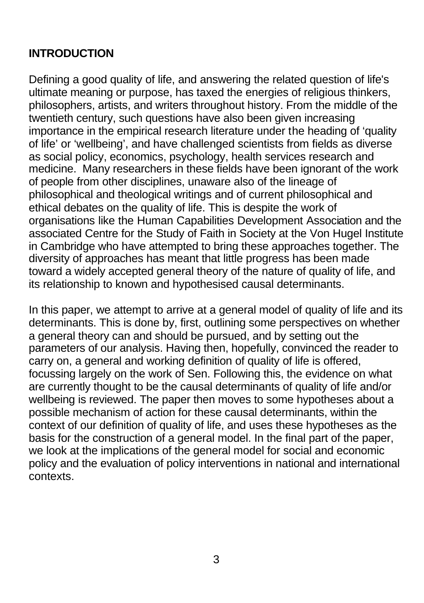# **INTRODUCTION**

Defining a good quality of life, and answering the related question of life's ultimate meaning or purpose, has taxed the energies of religious thinkers, philosophers, artists, and writers throughout history. From the middle of the twentieth century, such questions have also been given increasing importance in the empirical research literature under the heading of 'quality of life' or 'wellbeing', and have challenged scientists from fields as diverse as social policy, economics, psychology, health services research and medicine. Many researchers in these fields have been ignorant of the work of people from other disciplines, unaware also of the lineage of philosophical and theological writings and of current philosophical and ethical debates on the quality of life. This is despite the work of organisations like the Human Capabilities Development Association and the associated Centre for the Study of Faith in Society at the Von Hugel Institute in Cambridge who have attempted to bring these approaches together. The diversity of approaches has meant that little progress has been made toward a widely accepted general theory of the nature of quality of life, and its relationship to known and hypothesised causal determinants.

In this paper, we attempt to arrive at a general model of quality of life and its determinants. This is done by, first, outlining some perspectives on whether a general theory can and should be pursued, and by setting out the parameters of our analysis. Having then, hopefully, convinced the reader to carry on, a general and working definition of quality of life is offered, focussing largely on the work of Sen. Following this, the evidence on what are currently thought to be the causal determinants of quality of life and/or wellbeing is reviewed. The paper then moves to some hypotheses about a possible mechanism of action for these causal determinants, within the context of our definition of quality of life, and uses these hypotheses as the basis for the construction of a general model. In the final part of the paper, we look at the implications of the general model for social and economic policy and the evaluation of policy interventions in national and international contexts.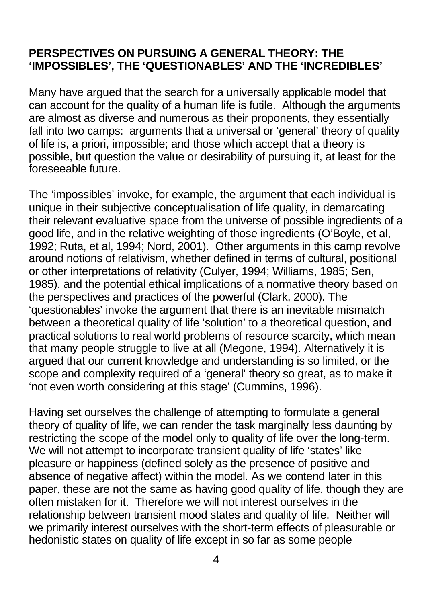#### **PERSPECTIVES ON PURSUING A GENERAL THEORY: THE 'IMPOSSIBLES', THE 'QUESTIONABLES' AND THE 'INCREDIBLES'**

Many have argued that the search for a universally applicable model that can account for the quality of a human life is futile. Although the arguments are almost as diverse and numerous as their proponents, they essentially fall into two camps: arguments that a universal or 'general' theory of quality of life is, a priori, impossible; and those which accept that a theory is possible, but question the value or desirability of pursuing it, at least for the foreseeable future.

The 'impossibles' invoke, for example, the argument that each individual is unique in their subjective conceptualisation of life quality, in demarcating their relevant evaluative space from the universe of possible ingredients of a good life, and in the relative weighting of those ingredients (O'Boyle, et al, 1992; Ruta, et al, 1994; Nord, 2001). Other arguments in this camp revolve around notions of relativism, whether defined in terms of cultural, positional or other interpretations of relativity (Culyer, 1994; Williams, 1985; Sen, 1985), and the potential ethical implications of a normative theory based on the perspectives and practices of the powerful (Clark, 2000). The 'questionables' invoke the argument that there is an inevitable mismatch between a theoretical quality of life 'solution' to a theoretical question, and practical solutions to real world problems of resource scarcity, which mean that many people struggle to live at all (Megone, 1994). Alternatively it is argued that our current knowledge and understanding is so limited, or the scope and complexity required of a 'general' theory so great, as to make it 'not even worth considering at this stage' (Cummins, 1996).

Having set ourselves the challenge of attempting to formulate a general theory of quality of life, we can render the task marginally less daunting by restricting the scope of the model only to quality of life over the long-term. We will not attempt to incorporate transient quality of life 'states' like pleasure or happiness (defined solely as the presence of positive and absence of negative affect) within the model. As we contend later in this paper, these are not the same as having good quality of life, though they are often mistaken for it. Therefore we will not interest ourselves in the relationship between transient mood states and quality of life. Neither will we primarily interest ourselves with the short-term effects of pleasurable or hedonistic states on quality of life except in so far as some people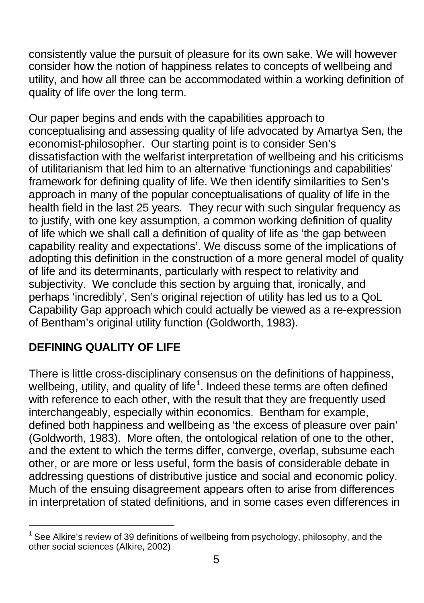consistently value the pursuit of pleasure for its own sake. We will however consider how the notion of happiness relates to concepts of wellbeing and utility, and how all three can be accommodated within a working definition of quality of life over the long term.

Our paper begins and ends with the capabilities approach to conceptualising and assessing quality of life advocated by Amartya Sen, the economist-philosopher. Our starting point is to consider Sen's dissatisfaction with the welfarist interpretation of wellbeing and his criticisms of utilitarianism that led him to an alternative 'functionings and capabilities' framework for defining quality of life. We then identify similarities to Sen's approach in many of the popular conceptualisations of quality of life in the health field in the last 25 years. They recur with such singular frequency as to justify, with one key assumption, a common working definition of quality of life which we shall call a definition of quality of life as 'the gap between capability reality and expectations'. We discuss some of the implications of adopting this definition in the construction of a more general model of quality of life and its determinants, particularly with respect to relativity and subjectivity. We conclude this section by arguing that, ironically, and perhaps 'incredibly', Sen's original rejection of utility has led us to a QoL Capability Gap approach which could actually be viewed as a re-expression of Bentham's original utility function (Goldworth, 1983).

# **DEFINING QUALITY OF LIFE**

There is little cross-disciplinary consensus on the definitions of happiness, wellbeing, utility, and quality of life<sup>1</sup>. Indeed these terms are often defined with reference to each other, with the result that they are frequently used interchangeably, especially within economics. Bentham for example, defined both happiness and wellbeing as 'the excess of pleasure over pain' (Goldworth, 1983). More often, the ontological relation of one to the other, and the extent to which the terms differ, converge, overlap, subsume each other, or are more or less useful, form the basis of considerable debate in addressing questions of distributive justice and social and economic policy. Much of the ensuing disagreement appears often to arise from differences in interpretation of stated definitions, and in some cases even differences in

l 1 See Alkire's review of 39 definitions of wellbeing from psychology, philosophy, and the other social sciences (Alkire, 2002)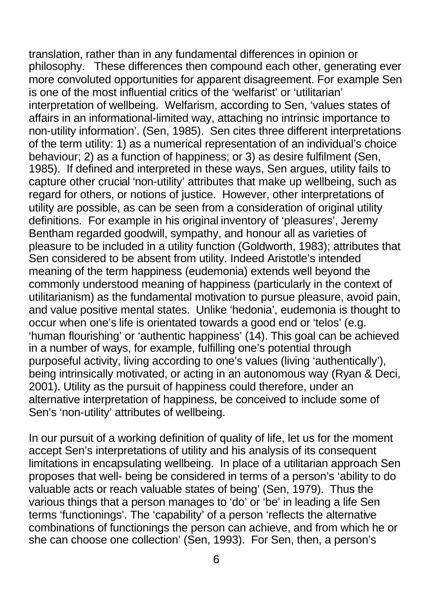translation, rather than in any fundamental differences in opinion or philosophy. These differences then compound each other, generating ever more convoluted opportunities for apparent disagreement. For example Sen is one of the most influential critics of the 'welfarist' or 'utilitarian' interpretation of wellbeing. Welfarism, according to Sen, 'values states of affairs in an informational-limited way, attaching no intrinsic importance to non-utility information'. (Sen, 1985). Sen cites three different interpretations of the term utility: 1) as a numerical representation of an individual's choice behaviour; 2) as a function of happiness; or 3) as desire fulfilment (Sen, 1985). If defined and interpreted in these ways, Sen argues, utility fails to capture other crucial 'non-utility' attributes that make up wellbeing, such as regard for others, or notions of justice. However, other interpretations of utility are possible, as can be seen from a consideration of original utility definitions. For example in his original inventory of 'pleasures', Jeremy Bentham regarded goodwill, sympathy, and honour all as varieties of pleasure to be included in a utility function (Goldworth, 1983); attributes that Sen considered to be absent from utility. Indeed Aristotle's intended meaning of the term happiness (eudemonia) extends well beyond the commonly understood meaning of happiness (particularly in the context of utilitarianism) as the fundamental motivation to pursue pleasure, avoid pain, and value positive mental states. Unlike 'hedonia', eudemonia is thought to occur when one's life is orientated towards a good end or 'telos' (e.g. 'human flourishing' or 'authentic happiness' (14). This goal can be achieved in a number of ways, for example, fulfilling one's potential through purposeful activity, living according to one's values (living 'authentically'), being intrinsically motivated, or acting in an autonomous way (Ryan & Deci, 2001). Utility as the pursuit of happiness could therefore, under an alternative interpretation of happiness, be conceived to include some of Sen's 'non-utility' attributes of wellbeing.

In our pursuit of a working definition of quality of life, let us for the moment accept Sen's interpretations of utility and his analysis of its consequent limitations in encapsulating wellbeing. In place of a utilitarian approach Sen proposes that well- being be considered in terms of a person's 'ability to do valuable acts or reach valuable states of being' (Sen, 1979). Thus the various things that a person manages to 'do' or 'be' in leading a life Sen terms 'functionings'. The 'capability' of a person 'reflects the alternative combinations of functionings the person can achieve, and from which he or she can choose one collection' (Sen, 1993). For Sen, then, a person's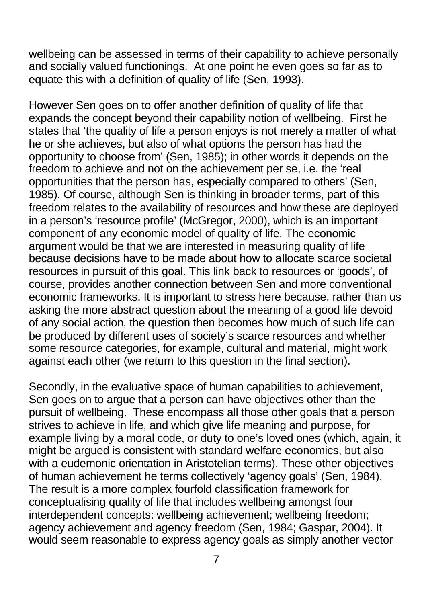wellbeing can be assessed in terms of their capability to achieve personally and socially valued functionings. At one point he even goes so far as to equate this with a definition of quality of life (Sen, 1993).

However Sen goes on to offer another definition of quality of life that expands the concept beyond their capability notion of wellbeing. First he states that 'the quality of life a person enjoys is not merely a matter of what he or she achieves, but also of what options the person has had the opportunity to choose from' (Sen, 1985); in other words it depends on the freedom to achieve and not on the achievement per se, i.e. the 'real opportunities that the person has, especially compared to others' (Sen, 1985). Of course, although Sen is thinking in broader terms, part of this freedom relates to the availability of resources and how these are deployed in a person's 'resource profile' (McGregor, 2000), which is an important component of any economic model of quality of life. The economic argument would be that we are interested in measuring quality of life because decisions have to be made about how to allocate scarce societal resources in pursuit of this goal. This link back to resources or 'goods', of course, provides another connection between Sen and more conventional economic frameworks. It is important to stress here because, rather than us asking the more abstract question about the meaning of a good life devoid of any social action, the question then becomes how much of such life can be produced by different uses of society's scarce resources and whether some resource categories, for example, cultural and material, might work against each other (we return to this question in the final section).

Secondly, in the evaluative space of human capabilities to achievement, Sen goes on to argue that a person can have objectives other than the pursuit of wellbeing. These encompass all those other goals that a person strives to achieve in life, and which give life meaning and purpose, for example living by a moral code, or duty to one's loved ones (which, again, it might be argued is consistent with standard welfare economics, but also with a eudemonic orientation in Aristotelian terms). These other objectives of human achievement he terms collectively 'agency goals' (Sen, 1984). The result is a more complex fourfold classification framework for conceptualising quality of life that includes wellbeing amongst four interdependent concepts: wellbeing achievement; wellbeing freedom; agency achievement and agency freedom (Sen, 1984; Gaspar, 2004). It would seem reasonable to express agency goals as simply another vector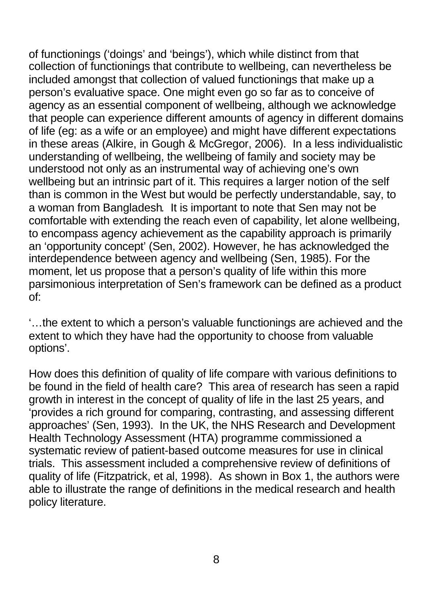of functionings ('doings' and 'beings'), which while distinct from that collection of functionings that contribute to wellbeing, can nevertheless be included amongst that collection of valued functionings that make up a person's evaluative space. One might even go so far as to conceive of agency as an essential component of wellbeing, although we acknowledge that people can experience different amounts of agency in different domains of life (eg: as a wife or an employee) and might have different expectations in these areas (Alkire, in Gough & McGregor, 2006). In a less individualistic understanding of wellbeing, the wellbeing of family and society may be understood not only as an instrumental way of achieving one's own wellbeing but an intrinsic part of it. This requires a larger notion of the self than is common in the West but would be perfectly understandable, say, to a woman from Bangladesh*.* It is important to note that Sen may not be comfortable with extending the reach even of capability, let alone wellbeing, to encompass agency achievement as the capability approach is primarily an 'opportunity concept' (Sen, 2002). However, he has acknowledged the interdependence between agency and wellbeing (Sen, 1985). For the moment, let us propose that a person's quality of life within this more parsimonious interpretation of Sen's framework can be defined as a product  $\overline{C}$ 

'…the extent to which a person's valuable functionings are achieved and the extent to which they have had the opportunity to choose from valuable options'.

How does this definition of quality of life compare with various definitions to be found in the field of health care? This area of research has seen a rapid growth in interest in the concept of quality of life in the last 25 years, and 'provides a rich ground for comparing, contrasting, and assessing different approaches' (Sen, 1993). In the UK, the NHS Research and Development Health Technology Assessment (HTA) programme commissioned a systematic review of patient-based outcome measures for use in clinical trials. This assessment included a comprehensive review of definitions of quality of life (Fitzpatrick, et al, 1998). As shown in Box 1, the authors were able to illustrate the range of definitions in the medical research and health policy literature.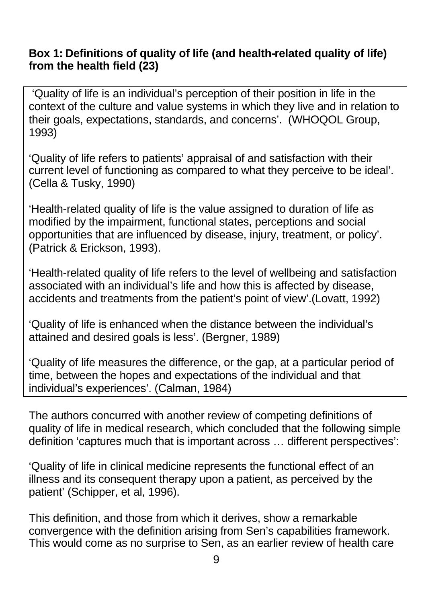#### **Box 1: Definitions of quality of life (and health-related quality of life) from the health field (23)**

 'Quality of life is an individual's perception of their position in life in the context of the culture and value systems in which they live and in relation to their goals, expectations, standards, and concerns'. (WHOQOL Group, 1993)

'Quality of life refers to patients' appraisal of and satisfaction with their current level of functioning as compared to what they perceive to be ideal'. (Cella & Tusky, 1990)

'Health-related quality of life is the value assigned to duration of life as modified by the impairment, functional states, perceptions and social opportunities that are influenced by disease, injury, treatment, or policy'. (Patrick & Erickson, 1993).

'Health-related quality of life refers to the level of wellbeing and satisfaction associated with an individual's life and how this is affected by disease, accidents and treatments from the patient's point of view'.(Lovatt, 1992)

'Quality of life is enhanced when the distance between the individual's attained and desired goals is less'. (Bergner, 1989)

'Quality of life measures the difference, or the gap, at a particular period of time, between the hopes and expectations of the individual and that individual's experiences'. (Calman, 1984)

The authors concurred with another review of competing definitions of quality of life in medical research, which concluded that the following simple definition 'captures much that is important across … different perspectives':

'Quality of life in clinical medicine represents the functional effect of an illness and its consequent therapy upon a patient, as perceived by the patient' (Schipper, et al, 1996).

This definition, and those from which it derives, show a remarkable convergence with the definition arising from Sen's capabilities framework. This would come as no surprise to Sen, as an earlier review of health care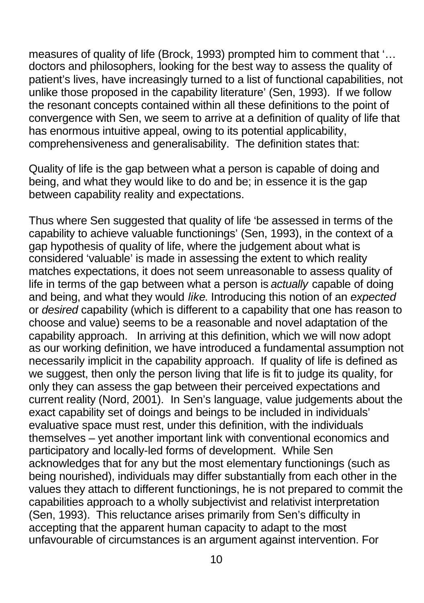measures of quality of life (Brock, 1993) prompted him to comment that '… doctors and philosophers, looking for the best way to assess the quality of patient's lives, have increasingly turned to a list of functional capabilities, not unlike those proposed in the capability literature' (Sen, 1993). If we follow the resonant concepts contained within all these definitions to the point of convergence with Sen, we seem to arrive at a definition of quality of life that has enormous intuitive appeal, owing to its potential applicability, comprehensiveness and generalisability. The definition states that:

Quality of life is the gap between what a person is capable of doing and being, and what they would like to do and be; in essence it is the gap between capability reality and expectations.

Thus where Sen suggested that quality of life 'be assessed in terms of the capability to achieve valuable functionings' (Sen, 1993), in the context of a gap hypothesis of quality of life, where the judgement about what is considered 'valuable' is made in assessing the extent to which reality matches expectations, it does not seem unreasonable to assess quality of life in terms of the gap between what a person is *actually* capable of doing and being, and what they would *like*. Introducing this notion of an *expected* or *desired* capability (which is different to a capability that one has reason to choose and value) seems to be a reasonable and novel adaptation of the capability approach. In arriving at this definition, which we will now adopt as our working definition, we have introduced a fundamental assumption not necessarily implicit in the capability approach. If quality of life is defined as we suggest, then only the person living that life is fit to judge its quality, for only they can assess the gap between their perceived expectations and current reality (Nord, 2001). In Sen's language, value judgements about the exact capability set of doings and beings to be included in individuals' evaluative space must rest, under this definition, with the individuals themselves – yet another important link with conventional economics and participatory and locally-led forms of development. While Sen acknowledges that for any but the most elementary functionings (such as being nourished), individuals may differ substantially from each other in the values they attach to different functionings, he is not prepared to commit the capabilities approach to a wholly subjectivist and relativist interpretation (Sen, 1993). This reluctance arises primarily from Sen's difficulty in accepting that the apparent human capacity to adapt to the most unfavourable of circumstances is an argument against intervention. For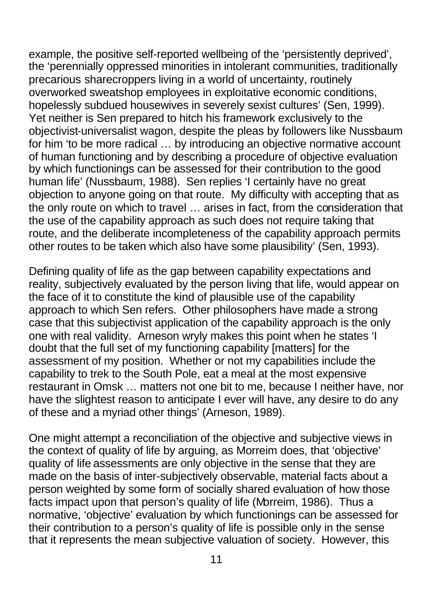example, the positive self-reported wellbeing of the 'persistently deprived', the 'perennially oppressed minorities in intolerant communities, traditionally precarious sharecroppers living in a world of uncertainty, routinely overworked sweatshop employees in exploitative economic conditions, hopelessly subdued housewives in severely sexist cultures' (Sen, 1999). Yet neither is Sen prepared to hitch his framework exclusively to the objectivist-universalist wagon, despite the pleas by followers like Nussbaum for him 'to be more radical … by introducing an objective normative account of human functioning and by describing a procedure of objective evaluation by which functionings can be assessed for their contribution to the good human life' (Nussbaum, 1988). Sen replies 'I certainly have no great objection to anyone going on that route. My difficulty with accepting that as the only route on which to travel … arises in fact, from the consideration that the use of the capability approach as such does not require taking that route, and the deliberate incompleteness of the capability approach permits other routes to be taken which also have some plausibility' (Sen, 1993).

Defining quality of life as the gap between capability expectations and reality, subjectively evaluated by the person living that life, would appear on the face of it to constitute the kind of plausible use of the capability approach to which Sen refers. Other philosophers have made a strong case that this subjectivist application of the capability approach is the only one with real validity. Arneson wryly makes this point when he states 'I doubt that the full set of my functioning capability [matters] for the assessment of my position. Whether or not my capabilities include the capability to trek to the South Pole, eat a meal at the most expensive restaurant in Omsk … matters not one bit to me, because I neither have, nor have the slightest reason to anticipate I ever will have, any desire to do any of these and a myriad other things' (Arneson, 1989).

One might attempt a reconciliation of the objective and subjective views in the context of quality of life by arguing, as Morreim does, that 'objective' quality of life assessments are only objective in the sense that they are made on the basis of inter-subjectively observable, material facts about a person weighted by some form of socially shared evaluation of how those facts impact upon that person's quality of life (Morreim, 1986). Thus a normative, 'objective' evaluation by which functionings can be assessed for their contribution to a person's quality of life is possible only in the sense that it represents the mean subjective valuation of society. However, this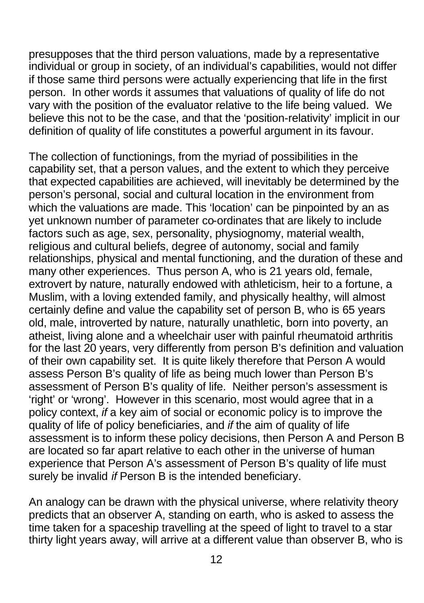presupposes that the third person valuations, made by a representative individual or group in society, of an individual's capabilities, would not differ if those same third persons were actually experiencing that life in the first person. In other words it assumes that valuations of quality of life do not vary with the position of the evaluator relative to the life being valued. We believe this not to be the case, and that the 'position-relativity' implicit in our definition of quality of life constitutes a powerful argument in its favour.

The collection of functionings, from the myriad of possibilities in the capability set, that a person values, and the extent to which they perceive that expected capabilities are achieved, will inevitably be determined by the person's personal, social and cultural location in the environment from which the valuations are made. This 'location' can be pinpointed by an as yet unknown number of parameter co-ordinates that are likely to include factors such as age, sex, personality, physiognomy, material wealth, religious and cultural beliefs, degree of autonomy, social and family relationships, physical and mental functioning, and the duration of these and many other experiences. Thus person A, who is 21 years old, female, extrovert by nature, naturally endowed with athleticism, heir to a fortune, a Muslim, with a loving extended family, and physically healthy, will almost certainly define and value the capability set of person B, who is 65 years old, male, introverted by nature, naturally unathletic, born into poverty, an atheist, living alone and a wheelchair user with painful rheumatoid arthritis for the last 20 years, very differently from person B's definition and valuation of their own capability set. It is quite likely therefore that Person A would assess Person B's quality of life as being much lower than Person B's assessment of Person B's quality of life. Neither person's assessment is 'right' or 'wrong'. However in this scenario, most would agree that in a policy context, *if* a key aim of social or economic policy is to improve the quality of life of policy beneficiaries, and *if* the aim of quality of life assessment is to inform these policy decisions, then Person A and Person B are located so far apart relative to each other in the universe of human experience that Person A's assessment of Person B's quality of life must surely be invalid *if* Person B is the intended beneficiary.

An analogy can be drawn with the physical universe, where relativity theory predicts that an observer A, standing on earth, who is asked to assess the time taken for a spaceship travelling at the speed of light to travel to a star thirty light years away, will arrive at a different value than observer B, who is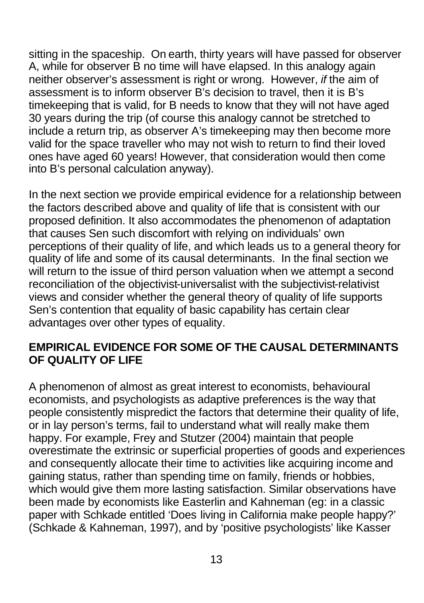sitting in the spaceship. On earth, thirty years will have passed for observer A, while for observer B no time will have elapsed. In this analogy again neither observer's assessment is right or wrong. However, *if* the aim of assessment is to inform observer B's decision to travel, then it is B's timekeeping that is valid, for B needs to know that they will not have aged 30 years during the trip (of course this analogy cannot be stretched to include a return trip, as observer A's timekeeping may then become more valid for the space traveller who may not wish to return to find their loved ones have aged 60 years! However, that consideration would then come into B's personal calculation anyway).

In the next section we provide empirical evidence for a relationship between the factors described above and quality of life that is consistent with our proposed definition. It also accommodates the phenomenon of adaptation that causes Sen such discomfort with relying on individuals' own perceptions of their quality of life, and which leads us to a general theory for quality of life and some of its causal determinants. In the final section we will return to the issue of third person valuation when we attempt a second reconciliation of the objectivist-universalist with the subjectivist-relativist views and consider whether the general theory of quality of life supports Sen's contention that equality of basic capability has certain clear advantages over other types of equality.

### **EMPIRICAL EVIDENCE FOR SOME OF THE CAUSAL DETERMINANTS OF QUALITY OF LIFE**

A phenomenon of almost as great interest to economists, behavioural economists, and psychologists as adaptive preferences is the way that people consistently mispredict the factors that determine their quality of life, or in lay person's terms, fail to understand what will really make them happy. For example, Frey and Stutzer (2004) maintain that people overestimate the extrinsic or superficial properties of goods and experiences and consequently allocate their time to activities like acquiring income and gaining status, rather than spending time on family, friends or hobbies, which would give them more lasting satisfaction. Similar observations have been made by economists like Easterlin and Kahneman (eg: in a classic paper with Schkade entitled 'Does living in California make people happy?' (Schkade & Kahneman, 1997), and by 'positive psychologists' like Kasser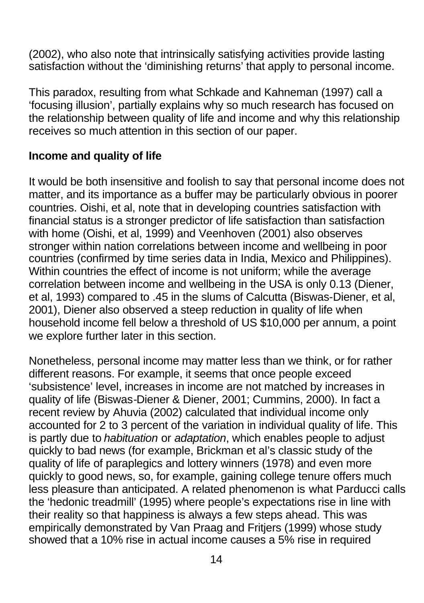(2002), who also note that intrinsically satisfying activities provide lasting satisfaction without the 'diminishing returns' that apply to personal income.

This paradox, resulting from what Schkade and Kahneman (1997) call a 'focusing illusion', partially explains why so much research has focused on the relationship between quality of life and income and why this relationship receives so much attention in this section of our paper.

#### **Income and quality of life**

It would be both insensitive and foolish to say that personal income does not matter, and its importance as a buffer may be particularly obvious in poorer countries. Oishi, et al, note that in developing countries satisfaction with financial status is a stronger predictor of life satisfaction than satisfaction with home (Oishi, et al, 1999) and Veenhoven (2001) also observes stronger within nation correlations between income and wellbeing in poor countries (confirmed by time series data in India, Mexico and Philippines). Within countries the effect of income is not uniform; while the average correlation between income and wellbeing in the USA is only 0.13 (Diener, et al, 1993) compared to .45 in the slums of Calcutta (Biswas-Diener, et al, 2001), Diener also observed a steep reduction in quality of life when household income fell below a threshold of US \$10,000 per annum, a point we explore further later in this section.

Nonetheless, personal income may matter less than we think, or for rather different reasons. For example, it seems that once people exceed 'subsistence' level, increases in income are not matched by increases in quality of life (Biswas-Diener & Diener, 2001; Cummins, 2000). In fact a recent review by Ahuvia (2002) calculated that individual income only accounted for 2 to 3 percent of the variation in individual quality of life. This is partly due to *habituation* or *adaptation*, which enables people to adjust quickly to bad news (for example, Brickman et al's classic study of the quality of life of paraplegics and lottery winners (1978) and even more quickly to good news, so, for example, gaining college tenure offers much less pleasure than anticipated. A related phenomenon is what Parducci calls the 'hedonic treadmill' (1995) where people's expectations rise in line with their reality so that happiness is always a few steps ahead. This was empirically demonstrated by Van Praag and Fritjers (1999) whose study showed that a 10% rise in actual income causes a 5% rise in required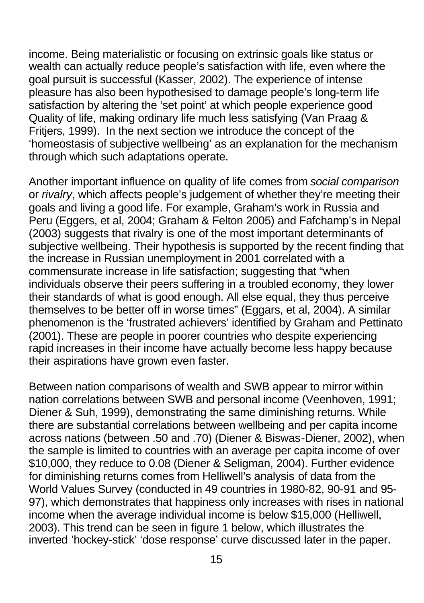income. Being materialistic or focusing on extrinsic goals like status or wealth can actually reduce people's satisfaction with life, even where the goal pursuit is successful (Kasser, 2002). The experience of intense pleasure has also been hypothesised to damage people's long-term life satisfaction by altering the 'set point' at which people experience good Quality of life, making ordinary life much less satisfying (Van Praag & Fritjers, 1999). In the next section we introduce the concept of the 'homeostasis of subjective wellbeing' as an explanation for the mechanism through which such adaptations operate.

Another important influence on quality of life comes from *social comparison* or *rivalry*, which affects people's judgement of whether they're meeting their goals and living a good life. For example, Graham's work in Russia and Peru (Eggers, et al, 2004; Graham & Felton 2005) and Fafchamp's in Nepal (2003) suggests that rivalry is one of the most important determinants of subjective wellbeing. Their hypothesis is supported by the recent finding that the increase in Russian unemployment in 2001 correlated with a commensurate increase in life satisfaction; suggesting that "when individuals observe their peers suffering in a troubled economy, they lower their standards of what is good enough. All else equal, they thus perceive themselves to be better off in worse times" (Eggars, et al, 2004). A similar phenomenon is the 'frustrated achievers' identified by Graham and Pettinato (2001). These are people in poorer countries who despite experiencing rapid increases in their income have actually become less happy because their aspirations have grown even faster.

Between nation comparisons of wealth and SWB appear to mirror within nation correlations between SWB and personal income (Veenhoven, 1991; Diener & Suh, 1999), demonstrating the same diminishing returns. While there are substantial correlations between wellbeing and per capita income across nations (between .50 and .70) (Diener & Biswas-Diener, 2002), when the sample is limited to countries with an average per capita income of over \$10,000, they reduce to 0.08 (Diener & Seligman, 2004). Further evidence for diminishing returns comes from Helliwell's analysis of data from the World Values Survey (conducted in 49 countries in 1980-82, 90-91 and 95- 97), which demonstrates that happiness only increases with rises in national income when the average individual income is below \$15,000 (Helliwell, 2003). This trend can be seen in figure 1 below, which illustrates the inverted 'hockey-stick' 'dose response' curve discussed later in the paper.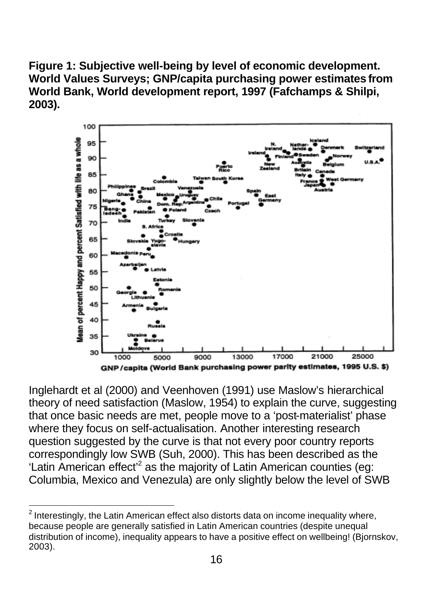**Figure 1: Subjective well-being by level of economic development. World Values Surveys; GNP/capita purchasing power estimates from World Bank, World development report, 1997 (Fafchamps & Shilpi, 2003).**



Inglehardt et al (2000) and Veenhoven (1991) use Maslow's hierarchical theory of need satisfaction (Maslow, 1954) to explain the curve, suggesting that once basic needs are met, people move to a 'post-materialist' phase where they focus on self-actualisation. Another interesting research question suggested by the curve is that not every poor country reports correspondingly low SWB (Suh, 2000). This has been described as the 'Latin American effect<sup>2</sup> as the majority of Latin American counties (eg: Columbia, Mexico and Venezula) are only slightly below the level of SWB

 2 Interestingly, the Latin American effect also distorts data on income inequality where, because people are generally satisfied in Latin American countries (despite unequal distribution of income), inequality appears to have a positive effect on wellbeing! (Bjornskov, 2003).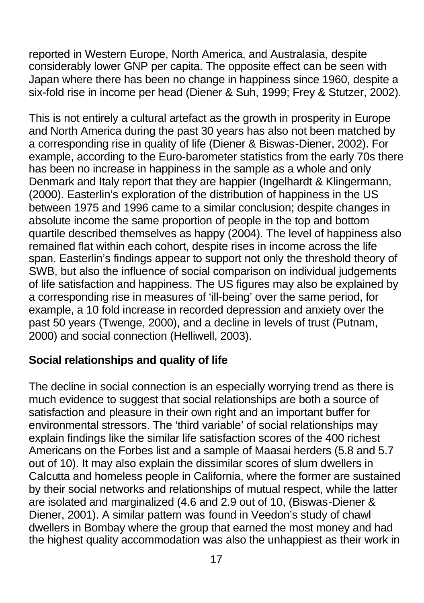reported in Western Europe, North America, and Australasia, despite considerably lower GNP per capita. The opposite effect can be seen with Japan where there has been no change in happiness since 1960, despite a six-fold rise in income per head (Diener & Suh, 1999; Frey & Stutzer, 2002).

This is not entirely a cultural artefact as the growth in prosperity in Europe and North America during the past 30 years has also not been matched by a corresponding rise in quality of life (Diener & Biswas-Diener, 2002). For example, according to the Euro-barometer statistics from the early 70s there has been no increase in happiness in the sample as a whole and only Denmark and Italy report that they are happier (Ingelhardt & Klingermann, (2000). Easterlin's exploration of the distribution of happiness in the US between 1975 and 1996 came to a similar conclusion; despite changes in absolute income the same proportion of people in the top and bottom quartile described themselves as happy (2004). The level of happiness also remained flat within each cohort, despite rises in income across the life span. Easterlin's findings appear to support not only the threshold theory of SWB, but also the influence of social comparison on individual judgements of life satisfaction and happiness. The US figures may also be explained by a corresponding rise in measures of 'ill-being' over the same period, for example, a 10 fold increase in recorded depression and anxiety over the past 50 years (Twenge, 2000), and a decline in levels of trust (Putnam, 2000) and social connection (Helliwell, 2003).

### **Social relationships and quality of life**

The decline in social connection is an especially worrying trend as there is much evidence to suggest that social relationships are both a source of satisfaction and pleasure in their own right and an important buffer for environmental stressors. The 'third variable' of social relationships may explain findings like the similar life satisfaction scores of the 400 richest Americans on the Forbes list and a sample of Maasai herders (5.8 and 5.7 out of 10). It may also explain the dissimilar scores of slum dwellers in Calcutta and homeless people in California, where the former are sustained by their social networks and relationships of mutual respect, while the latter are isolated and marginalized (4.6 and 2.9 out of 10, (Biswas-Diener & Diener, 2001). A similar pattern was found in Veedon's study of chawl dwellers in Bombay where the group that earned the most money and had the highest quality accommodation was also the unhappiest as their work in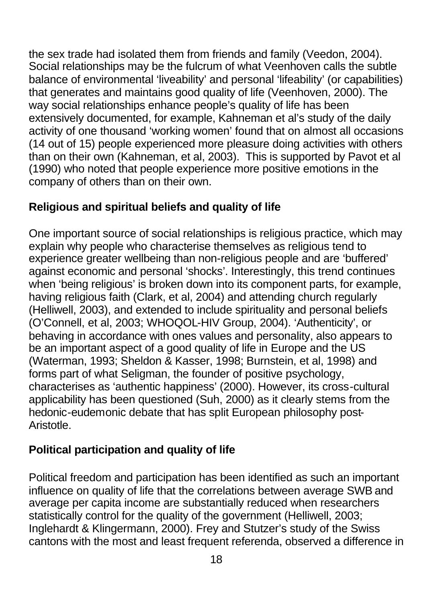the sex trade had isolated them from friends and family (Veedon, 2004). Social relationships may be the fulcrum of what Veenhoven calls the subtle balance of environmental 'liveability' and personal 'lifeability' (or capabilities) that generates and maintains good quality of life (Veenhoven, 2000). The way social relationships enhance people's quality of life has been extensively documented, for example, Kahneman et al's study of the daily activity of one thousand 'working women' found that on almost all occasions (14 out of 15) people experienced more pleasure doing activities with others than on their own (Kahneman, et al, 2003). This is supported by Pavot et al (1990) who noted that people experience more positive emotions in the company of others than on their own.

# **Religious and spiritual beliefs and quality of life**

One important source of social relationships is religious practice, which may explain why people who characterise themselves as religious tend to experience greater wellbeing than non-religious people and are 'buffered' against economic and personal 'shocks'. Interestingly, this trend continues when 'being religious' is broken down into its component parts, for example, having religious faith (Clark, et al, 2004) and attending church regularly (Helliwell, 2003), and extended to include spirituality and personal beliefs (O'Connell, et al, 2003; WHOQOL-HIV Group, 2004). 'Authenticity', or behaving in accordance with ones values and personality, also appears to be an important aspect of a good quality of life in Europe and the US (Waterman, 1993; Sheldon & Kasser, 1998; Burnstein, et al, 1998) and forms part of what Seligman, the founder of positive psychology, characterises as 'authentic happiness' (2000). However, its cross-cultural applicability has been questioned (Suh, 2000) as it clearly stems from the hedonic-eudemonic debate that has split European philosophy post-Aristotle.

# **Political participation and quality of life**

Political freedom and participation has been identified as such an important influence on quality of life that the correlations between average SWB and average per capita income are substantially reduced when researchers statistically control for the quality of the government (Helliwell, 2003; Inglehardt & Klingermann, 2000). Frey and Stutzer's study of the Swiss cantons with the most and least frequent referenda, observed a difference in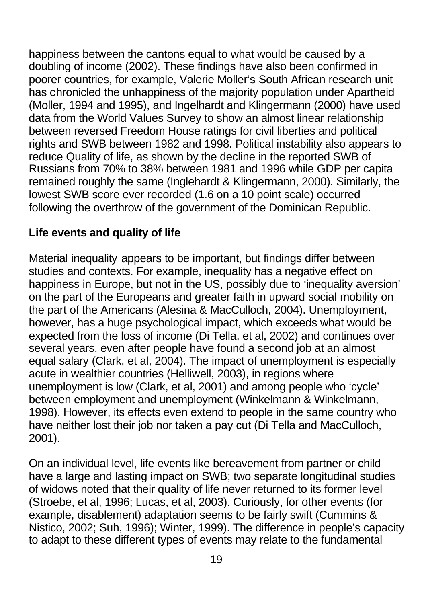happiness between the cantons equal to what would be caused by a doubling of income (2002). These findings have also been confirmed in poorer countries, for example, Valerie Moller's South African research unit has chronicled the unhappiness of the majority population under Apartheid (Moller, 1994 and 1995), and Ingelhardt and Klingermann (2000) have used data from the World Values Survey to show an almost linear relationship between reversed Freedom House ratings for civil liberties and political rights and SWB between 1982 and 1998. Political instability also appears to reduce Quality of life, as shown by the decline in the reported SWB of Russians from 70% to 38% between 1981 and 1996 while GDP per capita remained roughly the same (Inglehardt & Klingermann, 2000). Similarly, the lowest SWB score ever recorded (1.6 on a 10 point scale) occurred following the overthrow of the government of the Dominican Republic.

# **Life events and quality of life**

Material inequality appears to be important, but findings differ between studies and contexts. For example, inequality has a negative effect on happiness in Europe, but not in the US, possibly due to 'inequality aversion' on the part of the Europeans and greater faith in upward social mobility on the part of the Americans (Alesina & MacCulloch, 2004). Unemployment, however, has a huge psychological impact, which exceeds what would be expected from the loss of income (Di Tella, et al, 2002) and continues over several years, even after people have found a second job at an almost equal salary (Clark, et al, 2004). The impact of unemployment is especially acute in wealthier countries (Helliwell, 2003), in regions where unemployment is low (Clark, et al, 2001) and among people who 'cycle' between employment and unemployment (Winkelmann & Winkelmann, 1998). However, its effects even extend to people in the same country who have neither lost their job nor taken a pay cut (Di Tella and MacCulloch, 2001).

On an individual level, life events like bereavement from partner or child have a large and lasting impact on SWB; two separate longitudinal studies of widows noted that their quality of life never returned to its former level (Stroebe, et al, 1996; Lucas, et al, 2003). Curiously, for other events (for example, disablement) adaptation seems to be fairly swift (Cummins & Nistico, 2002; Suh, 1996); Winter, 1999). The difference in people's capacity to adapt to these different types of events may relate to the fundamental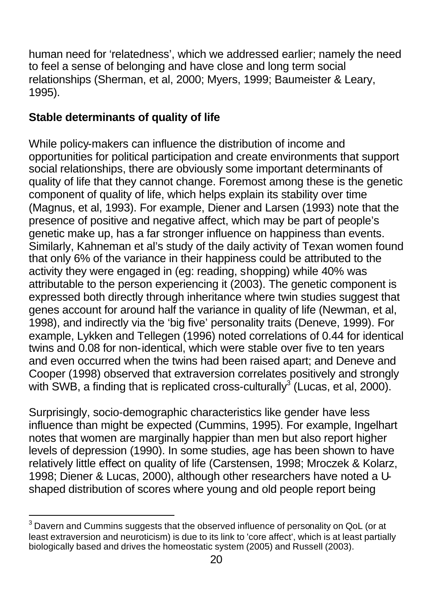human need for 'relatedness', which we addressed earlier; namely the need to feel a sense of belonging and have close and long term social relationships (Sherman, et al, 2000; Myers, 1999; Baumeister & Leary, 1995).

# **Stable determinants of quality of life**

While policy-makers can influence the distribution of income and opportunities for political participation and create environments that support social relationships, there are obviously some important determinants of quality of life that they cannot change. Foremost among these is the genetic component of quality of life, which helps explain its stability over time (Magnus, et al, 1993). For example, Diener and Larsen (1993) note that the presence of positive and negative affect, which may be part of people's genetic make up, has a far stronger influence on happiness than events. Similarly, Kahneman et al's study of the daily activity of Texan women found that only 6% of the variance in their happiness could be attributed to the activity they were engaged in (eg: reading, shopping) while 40% was attributable to the person experiencing it (2003). The genetic component is expressed both directly through inheritance where twin studies suggest that genes account for around half the variance in quality of life (Newman, et al, 1998), and indirectly via the 'big five' personality traits (Deneve, 1999). For example, Lykken and Tellegen (1996) noted correlations of 0.44 for identical twins and 0.08 for non-identical, which were stable over five to ten years and even occurred when the twins had been raised apart; and Deneve and Cooper (1998) observed that extraversion correlates positively and strongly with SWB, a finding that is replicated cross-culturally<sup>3</sup> (Lucas, et al, 2000).

Surprisingly, socio-demographic characteristics like gender have less influence than might be expected (Cummins, 1995). For example, Ingelhart notes that women are marginally happier than men but also report higher levels of depression (1990). In some studies, age has been shown to have relatively little effect on quality of life (Carstensen, 1998; Mroczek & Kolarz, 1998; Diener & Lucas, 2000), although other researchers have noted a Ushaped distribution of scores where young and old people report being

 3 Davern and Cummins suggests that the observed influence of personality on QoL (or at least extraversion and neuroticism) is due to its link to 'core affect', which is at least partially biologically based and drives the homeostatic system (2005) and Russell (2003).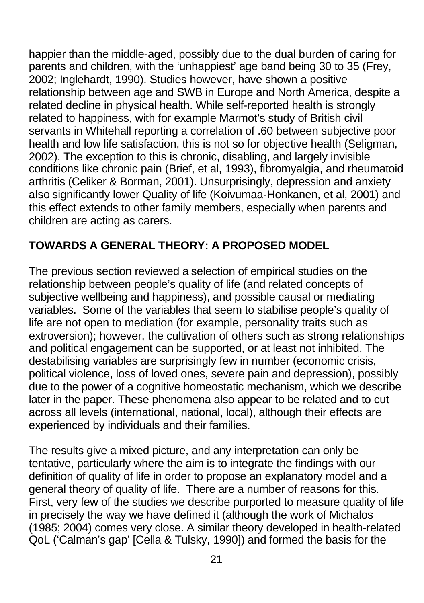happier than the middle-aged, possibly due to the dual burden of caring for parents and children, with the 'unhappiest' age band being 30 to 35 (Frey, 2002; Inglehardt, 1990). Studies however, have shown a positive relationship between age and SWB in Europe and North America, despite a related decline in physical health. While self-reported health is strongly related to happiness, with for example Marmot's study of British civil servants in Whitehall reporting a correlation of .60 between subjective poor health and low life satisfaction, this is not so for objective health (Seligman, 2002). The exception to this is chronic, disabling, and largely invisible conditions like chronic pain (Brief, et al, 1993), fibromyalgia, and rheumatoid arthritis (Celiker & Borman, 2001). Unsurprisingly, depression and anxiety also significantly lower Quality of life (Koivumaa-Honkanen, et al, 2001) and this effect extends to other family members, especially when parents and children are acting as carers.

# **TOWARDS A GENERAL THEORY: A PROPOSED MODEL**

The previous section reviewed a selection of empirical studies on the relationship between people's quality of life (and related concepts of subjective wellbeing and happiness), and possible causal or mediating variables. Some of the variables that seem to stabilise people's quality of life are not open to mediation (for example, personality traits such as extroversion); however, the cultivation of others such as strong relationships and political engagement can be supported, or at least not inhibited. The destabilising variables are surprisingly few in number (economic crisis, political violence, loss of loved ones, severe pain and depression), possibly due to the power of a cognitive homeostatic mechanism, which we describe later in the paper. These phenomena also appear to be related and to cut across all levels (international, national, local), although their effects are experienced by individuals and their families.

The results give a mixed picture, and any interpretation can only be tentative, particularly where the aim is to integrate the findings with our definition of quality of life in order to propose an explanatory model and a general theory of quality of life. There are a number of reasons for this. First, very few of the studies we describe purported to measure quality of life in precisely the way we have defined it (although the work of Michalos (1985; 2004) comes very close. A similar theory developed in health-related QoL ('Calman's gap' [Cella & Tulsky, 1990]) and formed the basis for the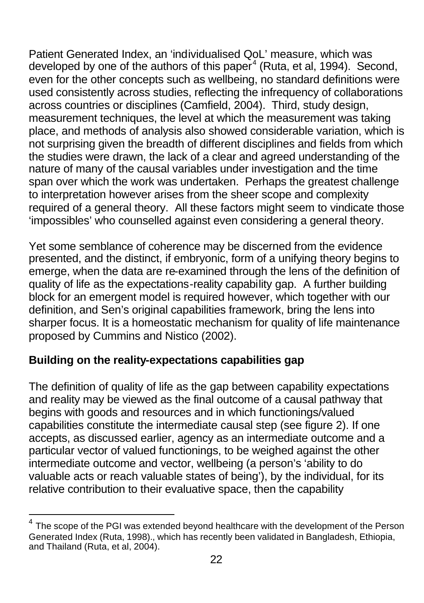Patient Generated Index, an 'individualised QoL' measure, which was developed by one of the authors of this paper<sup>4</sup> (Ruta, et al, 1994). Second, even for the other concepts such as wellbeing, no standard definitions were used consistently across studies, reflecting the infrequency of collaborations across countries or disciplines (Camfield, 2004). Third, study design, measurement techniques, the level at which the measurement was taking place, and methods of analysis also showed considerable variation, which is not surprising given the breadth of different disciplines and fields from which the studies were drawn, the lack of a clear and agreed understanding of the nature of many of the causal variables under investigation and the time span over which the work was undertaken. Perhaps the greatest challenge to interpretation however arises from the sheer scope and complexity required of a general theory. All these factors might seem to vindicate those 'impossibles' who counselled against even considering a general theory.

Yet some semblance of coherence may be discerned from the evidence presented, and the distinct, if embryonic, form of a unifying theory begins to emerge, when the data are re-examined through the lens of the definition of quality of life as the expectations-reality capability gap. A further building block for an emergent model is required however, which together with our definition, and Sen's original capabilities framework, bring the lens into sharper focus. It is a homeostatic mechanism for quality of life maintenance proposed by Cummins and Nistico (2002).

### **Building on the reality-expectations capabilities gap**

 $\overline{\phantom{a}}$ 

The definition of quality of life as the gap between capability expectations and reality may be viewed as the final outcome of a causal pathway that begins with goods and resources and in which functionings/valued capabilities constitute the intermediate causal step (see figure 2). If one accepts, as discussed earlier, agency as an intermediate outcome and a particular vector of valued functionings, to be weighed against the other intermediate outcome and vector, wellbeing (a person's 'ability to do valuable acts or reach valuable states of being'), by the individual, for its relative contribution to their evaluative space, then the capability

<sup>4</sup> The scope of the PGI was extended beyond healthcare with the development of the Person Generated Index (Ruta, 1998)., which has recently been validated in Bangladesh, Ethiopia, and Thailand (Ruta, et al, 2004).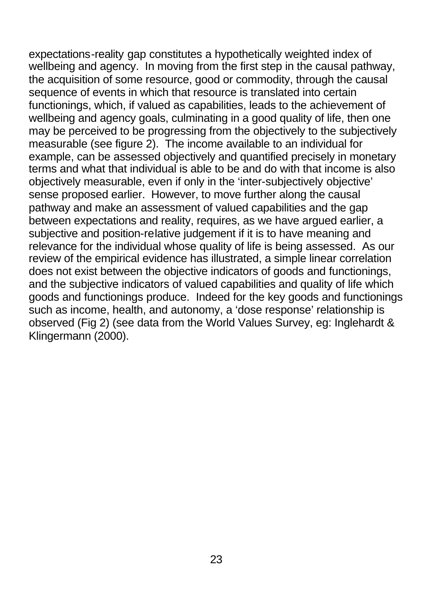expectations-reality gap constitutes a hypothetically weighted index of wellbeing and agency. In moving from the first step in the causal pathway, the acquisition of some resource, good or commodity, through the causal sequence of events in which that resource is translated into certain functionings, which, if valued as capabilities, leads to the achievement of wellbeing and agency goals, culminating in a good quality of life, then one may be perceived to be progressing from the objectively to the subjectively measurable (see figure 2). The income available to an individual for example, can be assessed objectively and quantified precisely in monetary terms and what that individual is able to be and do with that income is also objectively measurable, even if only in the 'inter-subjectively objective' sense proposed earlier. However, to move further along the causal pathway and make an assessment of valued capabilities and the gap between expectations and reality, requires, as we have argued earlier, a subjective and position-relative judgement if it is to have meaning and relevance for the individual whose quality of life is being assessed. As our review of the empirical evidence has illustrated, a simple linear correlation does not exist between the objective indicators of goods and functionings, and the subjective indicators of valued capabilities and quality of life which goods and functionings produce. Indeed for the key goods and functionings such as income, health, and autonomy, a 'dose response' relationship is observed (Fig 2) (see data from the World Values Survey, eg: Inglehardt & Klingermann (2000).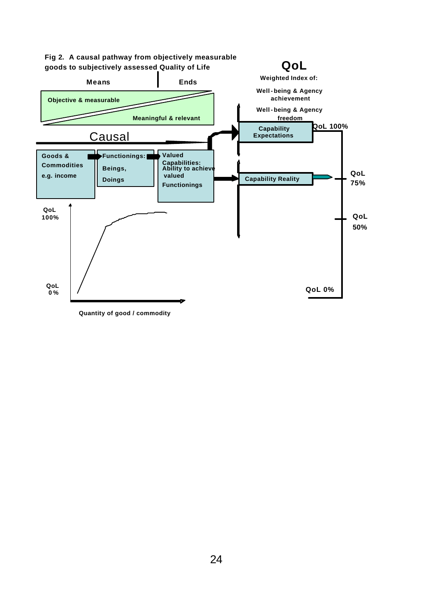

**Quantity of good / commodity**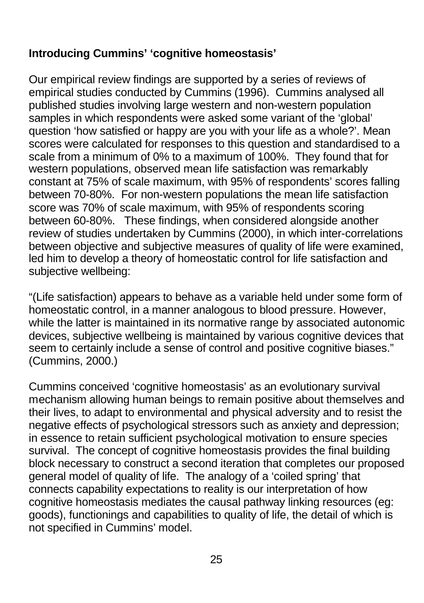# **Introducing Cummins' 'cognitive homeostasis'**

Our empirical review findings are supported by a series of reviews of empirical studies conducted by Cummins (1996). Cummins analysed all published studies involving large western and non-western population samples in which respondents were asked some variant of the 'global' question 'how satisfied or happy are you with your life as a whole?'. Mean scores were calculated for responses to this question and standardised to a scale from a minimum of 0% to a maximum of 100%. They found that for western populations, observed mean life satisfaction was remarkably constant at 75% of scale maximum, with 95% of respondents' scores falling between 70-80%. For non-western populations the mean life satisfaction score was 70% of scale maximum, with 95% of respondents scoring between 60-80%. These findings, when considered alongside another review of studies undertaken by Cummins (2000), in which inter-correlations between objective and subjective measures of quality of life were examined, led him to develop a theory of homeostatic control for life satisfaction and subjective wellbeing:

"(Life satisfaction) appears to behave as a variable held under some form of homeostatic control, in a manner analogous to blood pressure. However, while the latter is maintained in its normative range by associated autonomic devices, subjective wellbeing is maintained by various cognitive devices that seem to certainly include a sense of control and positive cognitive biases." (Cummins, 2000.)

Cummins conceived 'cognitive homeostasis' as an evolutionary survival mechanism allowing human beings to remain positive about themselves and their lives, to adapt to environmental and physical adversity and to resist the negative effects of psychological stressors such as anxiety and depression; in essence to retain sufficient psychological motivation to ensure species survival. The concept of cognitive homeostasis provides the final building block necessary to construct a second iteration that completes our proposed general model of quality of life. The analogy of a 'coiled spring' that connects capability expectations to reality is our interpretation of how cognitive homeostasis mediates the causal pathway linking resources (eg: goods), functionings and capabilities to quality of life, the detail of which is not specified in Cummins' model.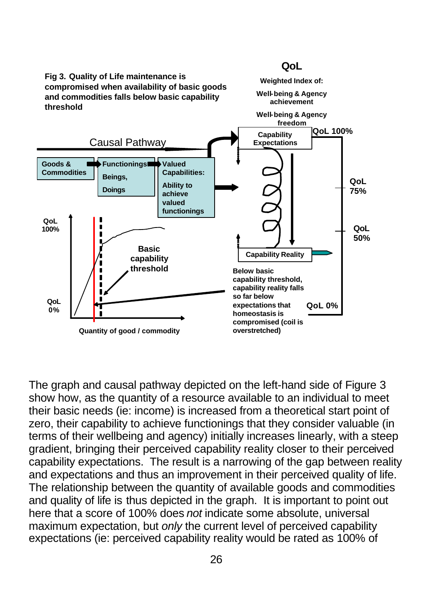

The graph and causal pathway depicted on the left-hand side of Figure 3 show how, as the quantity of a resource available to an individual to meet their basic needs (ie: income) is increased from a theoretical start point of zero, their capability to achieve functionings that they consider valuable (in terms of their wellbeing and agency) initially increases linearly, with a steep gradient, bringing their perceived capability reality closer to their perceived capability expectations. The result is a narrowing of the gap between reality and expectations and thus an improvement in their perceived quality of life. The relationship between the quantity of available goods and commodities and quality of life is thus depicted in the graph. It is important to point out here that a score of 100% does *not* indicate some absolute, universal maximum expectation, but *only* the current level of perceived capability expectations (ie: perceived capability reality would be rated as 100% of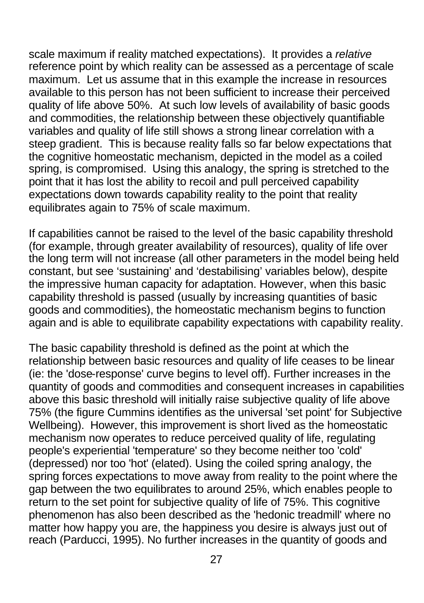scale maximum if reality matched expectations). It provides a *relative* reference point by which reality can be assessed as a percentage of scale maximum. Let us assume that in this example the increase in resources available to this person has not been sufficient to increase their perceived quality of life above 50%. At such low levels of availability of basic goods and commodities, the relationship between these objectively quantifiable variables and quality of life still shows a strong linear correlation with a steep gradient. This is because reality falls so far below expectations that the cognitive homeostatic mechanism, depicted in the model as a coiled spring, is compromised. Using this analogy, the spring is stretched to the point that it has lost the ability to recoil and pull perceived capability expectations down towards capability reality to the point that reality equilibrates again to 75% of scale maximum.

If capabilities cannot be raised to the level of the basic capability threshold (for example, through greater availability of resources), quality of life over the long term will not increase (all other parameters in the model being held constant, but see 'sustaining' and 'destabilising' variables below), despite the impressive human capacity for adaptation. However, when this basic capability threshold is passed (usually by increasing quantities of basic goods and commodities), the homeostatic mechanism begins to function again and is able to equilibrate capability expectations with capability reality.

The basic capability threshold is defined as the point at which the relationship between basic resources and quality of life ceases to be linear (ie: the 'dose-response' curve begins to level off). Further increases in the quantity of goods and commodities and consequent increases in capabilities above this basic threshold will initially raise subjective quality of life above 75% (the figure Cummins identifies as the universal 'set point' for Subjective Wellbeing). However, this improvement is short lived as the homeostatic mechanism now operates to reduce perceived quality of life, regulating people's experiential 'temperature' so they become neither too 'cold' (depressed) nor too 'hot' (elated). Using the coiled spring analogy, the spring forces expectations to move away from reality to the point where the gap between the two equilibrates to around 25%, which enables people to return to the set point for subjective quality of life of 75%. This cognitive phenomenon has also been described as the 'hedonic treadmill' where no matter how happy you are, the happiness you desire is always just out of reach (Parducci, 1995). No further increases in the quantity of goods and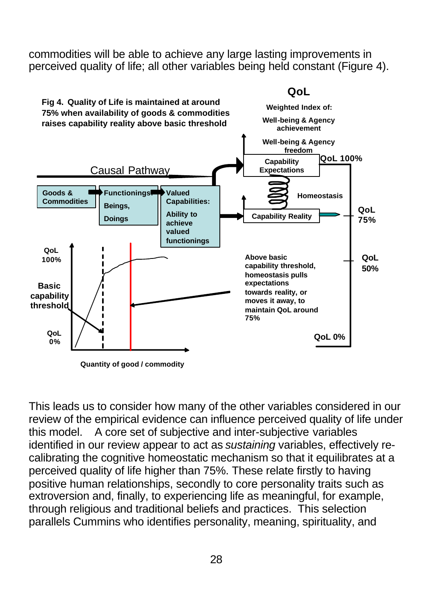commodities will be able to achieve any large lasting improvements in perceived quality of life; all other variables being held constant (Figure 4).



**Quantity of good / commodity**

This leads us to consider how many of the other variables considered in our review of the empirical evidence can influence perceived quality of life under this model. A core set of subjective and inter-subjective variables identified in our review appear to act as *sustaining* variables, effectively recalibrating the cognitive homeostatic mechanism so that it equilibrates at a perceived quality of life higher than 75%. These relate firstly to having positive human relationships, secondly to core personality traits such as extroversion and, finally, to experiencing life as meaningful, for example, through religious and traditional beliefs and practices. This selection parallels Cummins who identifies personality, meaning, spirituality, and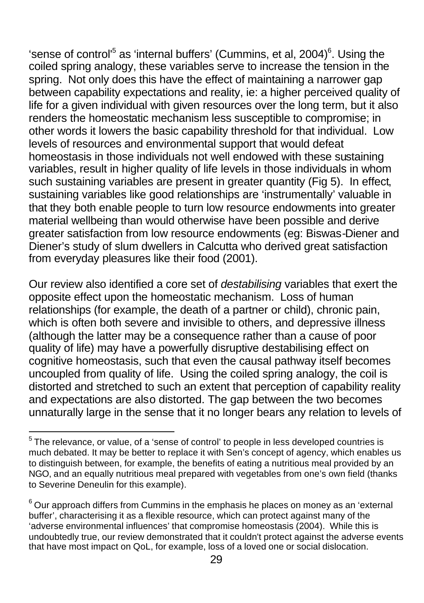'sense of control<sup>'5</sup> as 'internal buffers' (Cummins, et al, 2004)<sup>6</sup>. Using the coiled spring analogy, these variables serve to increase the tension in the spring. Not only does this have the effect of maintaining a narrower gap between capability expectations and reality, ie: a higher perceived quality of life for a given individual with given resources over the long term, but it also renders the homeostatic mechanism less susceptible to compromise; in other words it lowers the basic capability threshold for that individual. Low levels of resources and environmental support that would defeat homeostasis in those individuals not well endowed with these sustaining variables, result in higher quality of life levels in those individuals in whom such sustaining variables are present in greater quantity (Fig 5). In effect, sustaining variables like good relationships are 'instrumentally' valuable in that they both enable people to turn low resource endowments into greater material wellbeing than would otherwise have been possible and derive greater satisfaction from low resource endowments (eg: Biswas-Diener and Diener's study of slum dwellers in Calcutta who derived great satisfaction from everyday pleasures like their food (2001).

Our review also identified a core set of *destabilising* variables that exert the opposite effect upon the homeostatic mechanism. Loss of human relationships (for example, the death of a partner or child), chronic pain, which is often both severe and invisible to others, and depressive illness (although the latter may be a consequence rather than a cause of poor quality of life) may have a powerfully disruptive destabilising effect on cognitive homeostasis, such that even the causal pathway itself becomes uncoupled from quality of life. Using the coiled spring analogy, the coil is distorted and stretched to such an extent that perception of capability reality and expectations are also distorted. The gap between the two becomes unnaturally large in the sense that it no longer bears any relation to levels of

 5 The relevance, or value, of a 'sense of control' to people in less developed countries is much debated. It may be better to replace it with Sen's concept of agency, which enables us to distinguish between, for example, the benefits of eating a nutritious meal provided by an NGO, and an equally nutritious meal prepared with vegetables from one's own field (thanks to Severine Deneulin for this example).

 $^6$ Our approach differs from Cummins in the emphasis he places on money as an 'external buffer', characterising it as a flexible resource, which can protect against many of the 'adverse environmental influences' that compromise homeostasis (2004). While this is undoubtedly true, our review demonstrated that it couldn't protect against the adverse events that have most impact on QoL, for example, loss of a loved one or social dislocation.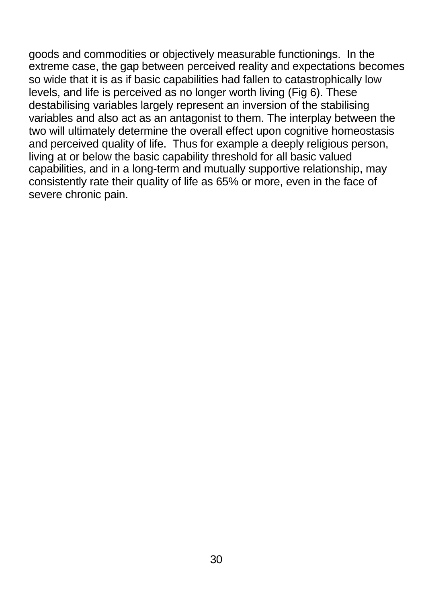goods and commodities or objectively measurable functionings. In the extreme case, the gap between perceived reality and expectations becomes so wide that it is as if basic capabilities had fallen to catastrophically low levels, and life is perceived as no longer worth living (Fig 6). These destabilising variables largely represent an inversion of the stabilising variables and also act as an antagonist to them. The interplay between the two will ultimately determine the overall effect upon cognitive homeostasis and perceived quality of life. Thus for example a deeply religious person, living at or below the basic capability threshold for all basic valued capabilities, and in a long-term and mutually supportive relationship, may consistently rate their quality of life as 65% or more, even in the face of severe chronic pain.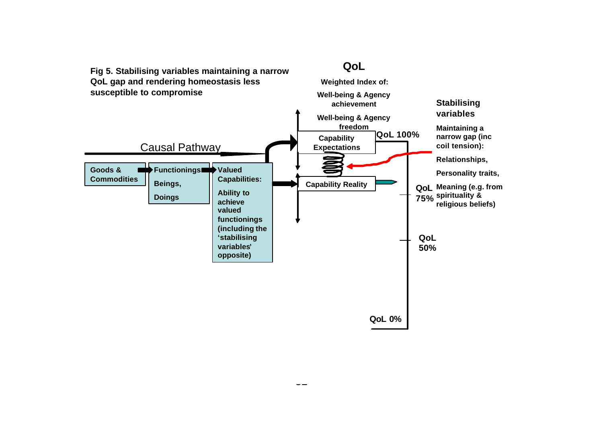

.,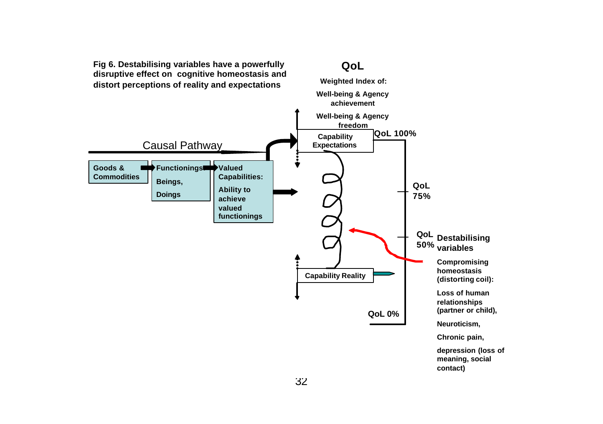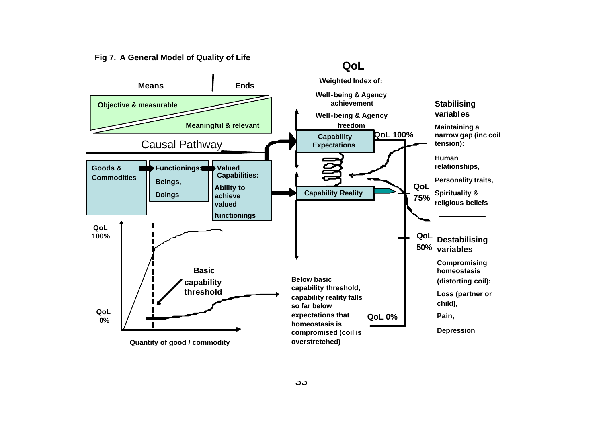**Fig 7. A General Model of Quality of Life**



**QoL**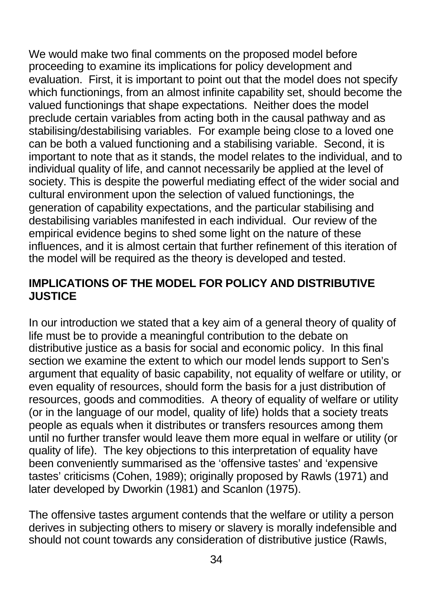We would make two final comments on the proposed model before proceeding to examine its implications for policy development and evaluation. First, it is important to point out that the model does not specify which functionings, from an almost infinite capability set, should become the valued functionings that shape expectations. Neither does the model preclude certain variables from acting both in the causal pathway and as stabilising/destabilising variables. For example being close to a loved one can be both a valued functioning and a stabilising variable. Second, it is important to note that as it stands, the model relates to the individual, and to individual quality of life, and cannot necessarily be applied at the level of society. This is despite the powerful mediating effect of the wider social and cultural environment upon the selection of valued functionings, the generation of capability expectations, and the particular stabilising and destabilising variables manifested in each individual. Our review of the empirical evidence begins to shed some light on the nature of these influences, and it is almost certain that further refinement of this iteration of the model will be required as the theory is developed and tested.

### **IMPLICATIONS OF THE MODEL FOR POLICY AND DISTRIBUTIVE JUSTICE**

In our introduction we stated that a key aim of a general theory of quality of life must be to provide a meaningful contribution to the debate on distributive justice as a basis for social and economic policy. In this final section we examine the extent to which our model lends support to Sen's argument that equality of basic capability, not equality of welfare or utility, or even equality of resources, should form the basis for a just distribution of resources, goods and commodities. A theory of equality of welfare or utility (or in the language of our model, quality of life) holds that a society treats people as equals when it distributes or transfers resources among them until no further transfer would leave them more equal in welfare or utility (or quality of life). The key objections to this interpretation of equality have been conveniently summarised as the 'offensive tastes' and 'expensive tastes' criticisms (Cohen, 1989); originally proposed by Rawls (1971) and later developed by Dworkin (1981) and Scanlon (1975).

The offensive tastes argument contends that the welfare or utility a person derives in subjecting others to misery or slavery is morally indefensible and should not count towards any consideration of distributive justice (Rawls,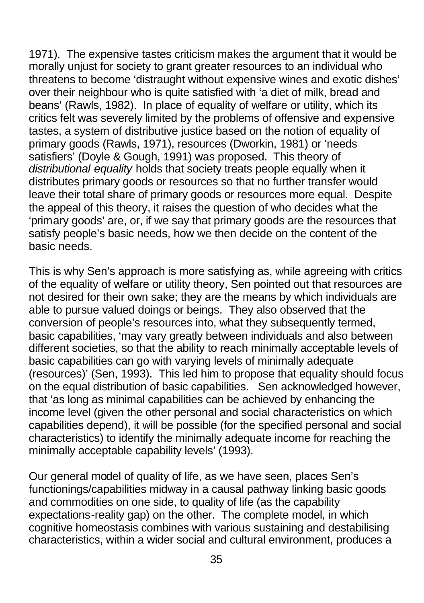1971). The expensive tastes criticism makes the argument that it would be morally unjust for society to grant greater resources to an individual who threatens to become 'distraught without expensive wines and exotic dishes' over their neighbour who is quite satisfied with 'a diet of milk, bread and beans' (Rawls, 1982). In place of equality of welfare or utility, which its critics felt was severely limited by the problems of offensive and expensive tastes, a system of distributive justice based on the notion of equality of primary goods (Rawls, 1971), resources (Dworkin, 1981) or 'needs satisfiers' (Doyle & Gough, 1991) was proposed. This theory of *distributional equality* holds that society treats people equally when it distributes primary goods or resources so that no further transfer would leave their total share of primary goods or resources more equal. Despite the appeal of this theory, it raises the question of who decides what the 'primary goods' are, or, if we say that primary goods are the resources that satisfy people's basic needs, how we then decide on the content of the basic needs.

This is why Sen's approach is more satisfying as, while agreeing with critics of the equality of welfare or utility theory, Sen pointed out that resources are not desired for their own sake; they are the means by which individuals are able to pursue valued doings or beings. They also observed that the conversion of people's resources into, what they subsequently termed, basic capabilities, 'may vary greatly between individuals and also between different societies, so that the ability to reach minimally acceptable levels of basic capabilities can go with varying levels of minimally adequate (resources)' (Sen, 1993). This led him to propose that equality should focus on the equal distribution of basic capabilities. Sen acknowledged however, that 'as long as minimal capabilities can be achieved by enhancing the income level (given the other personal and social characteristics on which capabilities depend), it will be possible (for the specified personal and social characteristics) to identify the minimally adequate income for reaching the minimally acceptable capability levels' (1993).

Our general model of quality of life, as we have seen, places Sen's functionings/capabilities midway in a causal pathway linking basic goods and commodities on one side, to quality of life (as the capability expectations-reality gap) on the other. The complete model, in which cognitive homeostasis combines with various sustaining and destabilising characteristics, within a wider social and cultural environment, produces a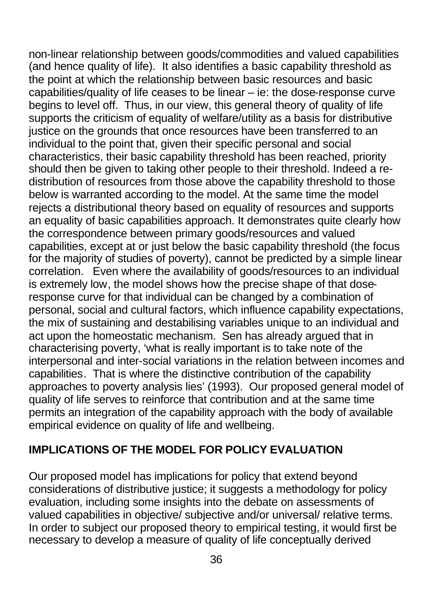non-linear relationship between goods/commodities and valued capabilities (and hence quality of life). It also identifies a basic capability threshold as the point at which the relationship between basic resources and basic capabilities/quality of life ceases to be linear – ie: the dose-response curve begins to level off. Thus, in our view, this general theory of quality of life supports the criticism of equality of welfare/utility as a basis for distributive justice on the grounds that once resources have been transferred to an individual to the point that, given their specific personal and social characteristics, their basic capability threshold has been reached, priority should then be given to taking other people to their threshold. Indeed a redistribution of resources from those above the capability threshold to those below is warranted according to the model. At the same time the model rejects a distributional theory based on equality of resources and supports an equality of basic capabilities approach. It demonstrates quite clearly how the correspondence between primary goods/resources and valued capabilities, except at or just below the basic capability threshold (the focus for the majority of studies of poverty), cannot be predicted by a simple linear correlation. Even where the availability of goods/resources to an individual is extremely low, the model shows how the precise shape of that doseresponse curve for that individual can be changed by a combination of personal, social and cultural factors, which influence capability expectations, the mix of sustaining and destabilising variables unique to an individual and act upon the homeostatic mechanism. Sen has already argued that in characterising poverty, 'what is really important is to take note of the interpersonal and inter-social variations in the relation between incomes and capabilities. That is where the distinctive contribution of the capability approaches to poverty analysis lies' (1993). Our proposed general model of quality of life serves to reinforce that contribution and at the same time permits an integration of the capability approach with the body of available empirical evidence on quality of life and wellbeing.

### **IMPLICATIONS OF THE MODEL FOR POLICY EVALUATION**

Our proposed model has implications for policy that extend beyond considerations of distributive justice; it suggests a methodology for policy evaluation, including some insights into the debate on assessments of valued capabilities in objective/ subjective and/or universal/ relative terms. In order to subject our proposed theory to empirical testing, it would first be necessary to develop a measure of quality of life conceptually derived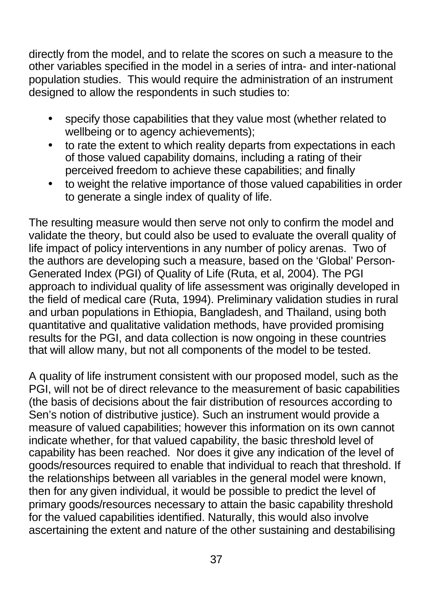directly from the model, and to relate the scores on such a measure to the other variables specified in the model in a series of intra- and inter-national population studies. This would require the administration of an instrument designed to allow the respondents in such studies to:

- specify those capabilities that they value most (whether related to wellbeing or to agency achievements);
- to rate the extent to which reality departs from expectations in each of those valued capability domains, including a rating of their perceived freedom to achieve these capabilities; and finally
- to weight the relative importance of those valued capabilities in order to generate a single index of quality of life.

The resulting measure would then serve not only to confirm the model and validate the theory, but could also be used to evaluate the overall quality of life impact of policy interventions in any number of policy arenas. Two of the authors are developing such a measure, based on the 'Global' Person-Generated Index (PGI) of Quality of Life (Ruta, et al, 2004). The PGI approach to individual quality of life assessment was originally developed in the field of medical care (Ruta, 1994). Preliminary validation studies in rural and urban populations in Ethiopia, Bangladesh, and Thailand, using both quantitative and qualitative validation methods, have provided promising results for the PGI, and data collection is now ongoing in these countries that will allow many, but not all components of the model to be tested.

A quality of life instrument consistent with our proposed model, such as the PGI, will not be of direct relevance to the measurement of basic capabilities (the basis of decisions about the fair distribution of resources according to Sen's notion of distributive justice). Such an instrument would provide a measure of valued capabilities; however this information on its own cannot indicate whether, for that valued capability, the basic threshold level of capability has been reached. Nor does it give any indication of the level of goods/resources required to enable that individual to reach that threshold. If the relationships between all variables in the general model were known, then for any given individual, it would be possible to predict the level of primary goods/resources necessary to attain the basic capability threshold for the valued capabilities identified. Naturally, this would also involve ascertaining the extent and nature of the other sustaining and destabilising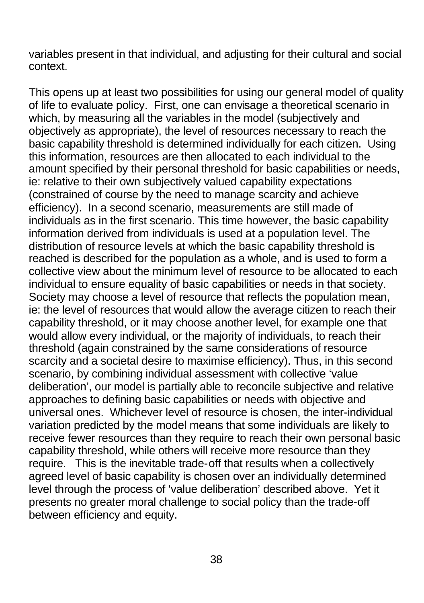variables present in that individual, and adjusting for their cultural and social context.

This opens up at least two possibilities for using our general model of quality of life to evaluate policy. First, one can envisage a theoretical scenario in which, by measuring all the variables in the model (subjectively and objectively as appropriate), the level of resources necessary to reach the basic capability threshold is determined individually for each citizen. Using this information, resources are then allocated to each individual to the amount specified by their personal threshold for basic capabilities or needs, ie: relative to their own subjectively valued capability expectations (constrained of course by the need to manage scarcity and achieve efficiency). In a second scenario, measurements are still made of individuals as in the first scenario. This time however, the basic capability information derived from individuals is used at a population level. The distribution of resource levels at which the basic capability threshold is reached is described for the population as a whole, and is used to form a collective view about the minimum level of resource to be allocated to each individual to ensure equality of basic capabilities or needs in that society. Society may choose a level of resource that reflects the population mean, ie: the level of resources that would allow the average citizen to reach their capability threshold, or it may choose another level, for example one that would allow every individual, or the majority of individuals, to reach their threshold (again constrained by the same considerations of resource scarcity and a societal desire to maximise efficiency). Thus, in this second scenario, by combining individual assessment with collective 'value deliberation', our model is partially able to reconcile subjective and relative approaches to defining basic capabilities or needs with objective and universal ones. Whichever level of resource is chosen, the inter-individual variation predicted by the model means that some individuals are likely to receive fewer resources than they require to reach their own personal basic capability threshold, while others will receive more resource than they require. This is the inevitable trade-off that results when a collectively agreed level of basic capability is chosen over an individually determined level through the process of 'value deliberation' described above. Yet it presents no greater moral challenge to social policy than the trade-off between efficiency and equity.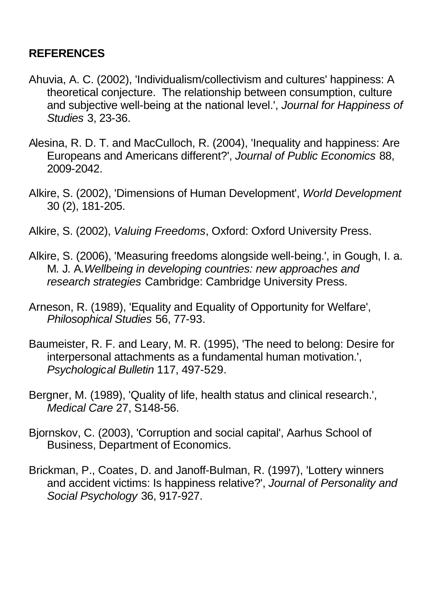### **REFERENCES**

- Ahuvia, A. C. (2002), 'Individualism/collectivism and cultures' happiness: A theoretical conjecture. The relationship between consumption, culture and subjective well-being at the national level.', *Journal for Happiness of Studies* 3, 23-36.
- Alesina, R. D. T. and MacCulloch, R. (2004), 'Inequality and happiness: Are Europeans and Americans different?', *Journal of Public Economics* 88, 2009-2042.
- Alkire, S. (2002), 'Dimensions of Human Development', *World Development* 30 (2), 181-205.
- Alkire, S. (2002), *Valuing Freedoms*, Oxford: Oxford University Press.
- Alkire, S. (2006), 'Measuring freedoms alongside well-being.', in Gough, I. a. M. J. A.*Wellbeing in developing countries: new approaches and research strategies* Cambridge: Cambridge University Press.
- Arneson, R. (1989), 'Equality and Equality of Opportunity for Welfare', *Philosophical Studies* 56, 77-93.
- Baumeister, R. F. and Leary, M. R. (1995), 'The need to belong: Desire for interpersonal attachments as a fundamental human motivation.', *Psychological Bulletin* 117, 497-529.
- Bergner, M. (1989), 'Quality of life, health status and clinical research.', *Medical Care* 27, S148-56.
- Bjornskov, C. (2003), 'Corruption and social capital', Aarhus School of Business, Department of Economics.
- Brickman, P., Coates, D. and Janoff-Bulman, R. (1997), 'Lottery winners and accident victims: Is happiness relative?', *Journal of Personality and Social Psychology* 36, 917-927.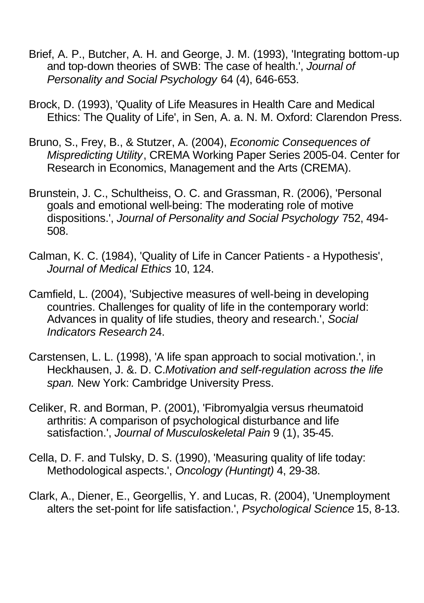- Brief, A. P., Butcher, A. H. and George, J. M. (1993), 'Integrating bottom-up and top-down theories of SWB: The case of health.', *Journal of Personality and Social Psychology* 64 (4), 646-653.
- Brock, D. (1993), 'Quality of Life Measures in Health Care and Medical Ethics: The Quality of Life', in Sen, A. a. N. M. Oxford: Clarendon Press.
- Bruno, S., Frey, B., & Stutzer, A. (2004), *Economic Consequences of Mispredicting Utility*, CREMA Working Paper Series 2005-04. Center for Research in Economics, Management and the Arts (CREMA).
- Brunstein, J. C., Schultheiss, O. C. and Grassman, R. (2006), 'Personal goals and emotional well-being: The moderating role of motive dispositions.', *Journal of Personality and Social Psychology* 752, 494- 508.
- Calman, K. C. (1984), 'Quality of Life in Cancer Patients a Hypothesis', *Journal of Medical Ethics* 10, 124.
- Camfield, L. (2004), 'Subjective measures of well-being in developing countries. Challenges for quality of life in the contemporary world: Advances in quality of life studies, theory and research.', *Social Indicators Research* 24.
- Carstensen, L. L. (1998), 'A life span approach to social motivation.', in Heckhausen, J. &. D. C.*Motivation and self-regulation across the life span.* New York: Cambridge University Press.
- Celiker, R. and Borman, P. (2001), 'Fibromyalgia versus rheumatoid arthritis: A comparison of psychological disturbance and life satisfaction.', *Journal of Musculoskeletal Pain* 9 (1), 35-45.
- Cella, D. F. and Tulsky, D. S. (1990), 'Measuring quality of life today: Methodological aspects.', *Oncology (Huntingt)* 4, 29-38.
- Clark, A., Diener, E., Georgellis, Y. and Lucas, R. (2004), 'Unemployment alters the set-point for life satisfaction.', *Psychological Science* 15, 8-13.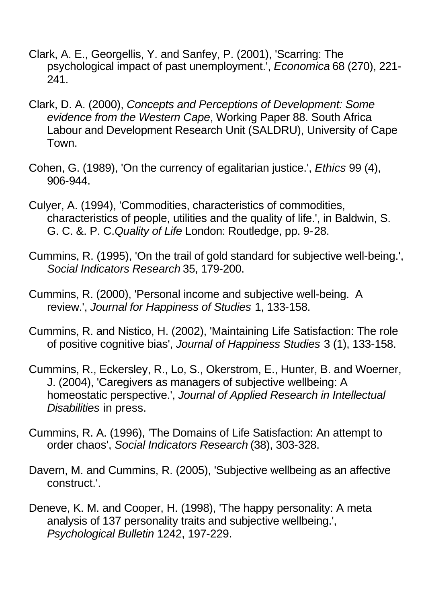- Clark, A. E., Georgellis, Y. and Sanfey, P. (2001), 'Scarring: The psychological impact of past unemployment.', *Economica* 68 (270), 221- 241.
- Clark, D. A. (2000), *Concepts and Perceptions of Development: Some evidence from the Western Cape*, Working Paper 88. South Africa Labour and Development Research Unit (SALDRU), University of Cape Town.
- Cohen, G. (1989), 'On the currency of egalitarian justice.', *Ethics* 99 (4), 906-944.
- Culyer, A. (1994), 'Commodities, characteristics of commodities, characteristics of people, utilities and the quality of life.', in Baldwin, S. G. C. &. P. C.*Quality of Life* London: Routledge, pp. 9-28.
- Cummins, R. (1995), 'On the trail of gold standard for subjective well-being.', *Social Indicators Research* 35, 179-200.
- Cummins, R. (2000), 'Personal income and subjective well-being. A review.', *Journal for Happiness of Studies* 1, 133-158.
- Cummins, R. and Nistico, H. (2002), 'Maintaining Life Satisfaction: The role of positive cognitive bias', *Journal of Happiness Studies* 3 (1), 133-158.
- Cummins, R., Eckersley, R., Lo, S., Okerstrom, E., Hunter, B. and Woerner, J. (2004), 'Caregivers as managers of subjective wellbeing: A homeostatic perspective.', *Journal of Applied Research in Intellectual Disabilities* in press.
- Cummins, R. A. (1996), 'The Domains of Life Satisfaction: An attempt to order chaos', *Social Indicators Research* (38), 303-328.
- Davern, M. and Cummins, R. (2005), 'Subjective wellbeing as an affective construct.'.
- Deneve, K. M. and Cooper, H. (1998), 'The happy personality: A meta analysis of 137 personality traits and subjective wellbeing.', *Psychological Bulletin* 1242, 197-229.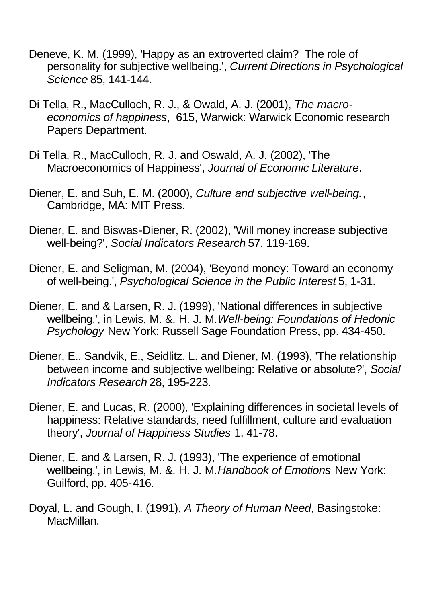- Deneve, K. M. (1999), 'Happy as an extroverted claim? The role of personality for subjective wellbeing.', *Current Directions in Psychological Science* 85, 141-144.
- Di Tella, R., MacCulloch, R. J., & Owald, A. J. (2001), *The macroeconomics of happiness*, 615, Warwick: Warwick Economic research Papers Department.
- Di Tella, R., MacCulloch, R. J. and Oswald, A. J. (2002), 'The Macroeconomics of Happiness', *Journal of Economic Literature*.
- Diener, E. and Suh, E. M. (2000), *Culture and subjective well-being.*, Cambridge, MA: MIT Press.
- Diener, E. and Biswas-Diener, R. (2002), 'Will money increase subjective well-being?', *Social Indicators Research* 57, 119-169.
- Diener, E. and Seligman, M. (2004), 'Beyond money: Toward an economy of well-being.', *Psychological Science in the Public Interest* 5, 1-31.
- Diener, E. and & Larsen, R. J. (1999), 'National differences in subjective wellbeing.', in Lewis, M. &. H. J. M.*Well-being: Foundations of Hedonic Psychology* New York: Russell Sage Foundation Press, pp. 434-450.
- Diener, E., Sandvik, E., Seidlitz, L. and Diener, M. (1993), 'The relationship between income and subjective wellbeing: Relative or absolute?', *Social Indicators Research* 28, 195-223.
- Diener, E. and Lucas, R. (2000), 'Explaining differences in societal levels of happiness: Relative standards, need fulfillment, culture and evaluation theory', *Journal of Happiness Studies* 1, 41-78.
- Diener, E. and & Larsen, R. J. (1993), 'The experience of emotional wellbeing.', in Lewis, M. &. H. J. M.*Handbook of Emotions* New York: Guilford, pp. 405-416.
- Doyal, L. and Gough, I. (1991), *A Theory of Human Need*, Basingstoke: MacMillan.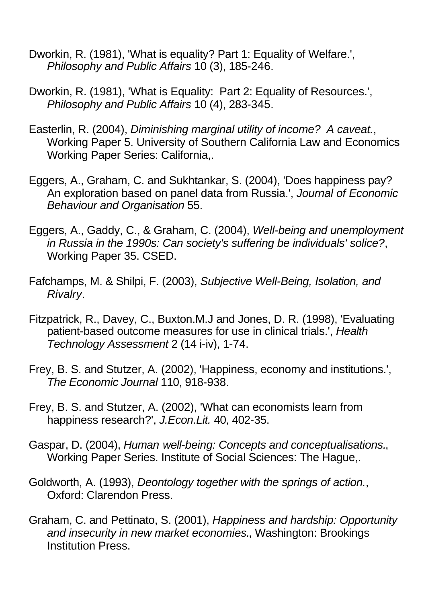- Dworkin, R. (1981), 'What is equality? Part 1: Equality of Welfare.', *Philosophy and Public Affairs* 10 (3), 185-246.
- Dworkin, R. (1981), 'What is Equality: Part 2: Equality of Resources.', *Philosophy and Public Affairs* 10 (4), 283-345.
- Easterlin, R. (2004), *Diminishing marginal utility of income? A caveat.*, Working Paper 5. University of Southern California Law and Economics Working Paper Series: California,.
- Eggers, A., Graham, C. and Sukhtankar, S. (2004), 'Does happiness pay? An exploration based on panel data from Russia.', *Journal of Economic Behaviour and Organisation* 55.
- Eggers, A., Gaddy, C., & Graham, C. (2004), *Well-being and unemployment in Russia in the 1990s: Can society's suffering be individuals' solice?*, Working Paper 35. CSED.
- Fafchamps, M. & Shilpi, F. (2003), *Subjective Well-Being, Isolation, and Rivalry*.
- Fitzpatrick, R., Davey, C., Buxton.M.J and Jones, D. R. (1998), 'Evaluating patient-based outcome measures for use in clinical trials.', *Health Technology Assessment* 2 (14 i-iv), 1-74.
- Frey, B. S. and Stutzer, A. (2002), 'Happiness, economy and institutions.', *The Economic Journal* 110, 918-938.
- Frey, B. S. and Stutzer, A. (2002), 'What can economists learn from happiness research?', *J.Econ.Lit.* 40, 402-35.
- Gaspar, D. (2004), *Human well-being: Concepts and conceptualisations.*, Working Paper Series. Institute of Social Sciences: The Hague,.
- Goldworth, A. (1993), *Deontology together with the springs of action.*, Oxford: Clarendon Press.
- Graham, C. and Pettinato, S. (2001), *Happiness and hardship: Opportunity and insecurity in new market economies.*, Washington: Brookings Institution Press.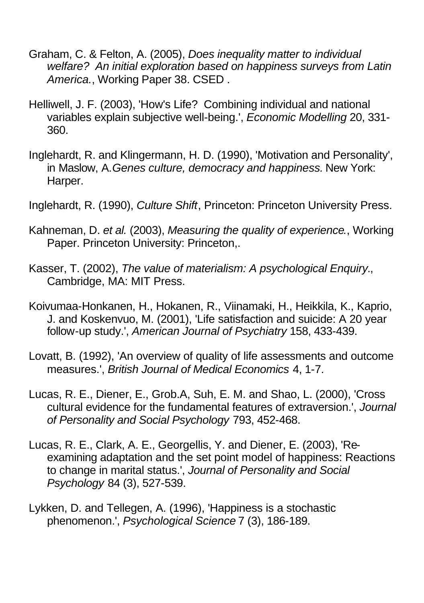- Graham, C. & Felton, A. (2005), *Does inequality matter to individual welfare? An initial exploration based on happiness surveys from Latin America.*, Working Paper 38. CSED .
- Helliwell, J. F. (2003), 'How's Life? Combining individual and national variables explain subjective well-being.', *Economic Modelling* 20, 331- 360.
- Inglehardt, R. and Klingermann, H. D. (1990), 'Motivation and Personality', in Maslow, A.*Genes culture, democracy and happiness.* New York: Harper.
- Inglehardt, R. (1990), *Culture Shift*, Princeton: Princeton University Press.
- Kahneman, D. *et al.* (2003), *Measuring the quality of experience.*, Working Paper. Princeton University: Princeton,.
- Kasser, T. (2002), *The value of materialism: A psychological Enquiry.*, Cambridge, MA: MIT Press.
- Koivumaa-Honkanen, H., Hokanen, R., Viinamaki, H., Heikkila, K., Kaprio, J. and Koskenvuo, M. (2001), 'Life satisfaction and suicide: A 20 year follow-up study.', *American Journal of Psychiatry* 158, 433-439.
- Lovatt, B. (1992), 'An overview of quality of life assessments and outcome measures.', *British Journal of Medical Economics* 4, 1-7.
- Lucas, R. E., Diener, E., Grob.A, Suh, E. M. and Shao, L. (2000), 'Cross cultural evidence for the fundamental features of extraversion.', *Journal of Personality and Social Psychology* 793, 452-468.
- Lucas, R. E., Clark, A. E., Georgellis, Y. and Diener, E. (2003), 'Reexamining adaptation and the set point model of happiness: Reactions to change in marital status.', *Journal of Personality and Social Psychology* 84 (3), 527-539.
- Lykken, D. and Tellegen, A. (1996), 'Happiness is a stochastic phenomenon.', *Psychological Science* 7 (3), 186-189.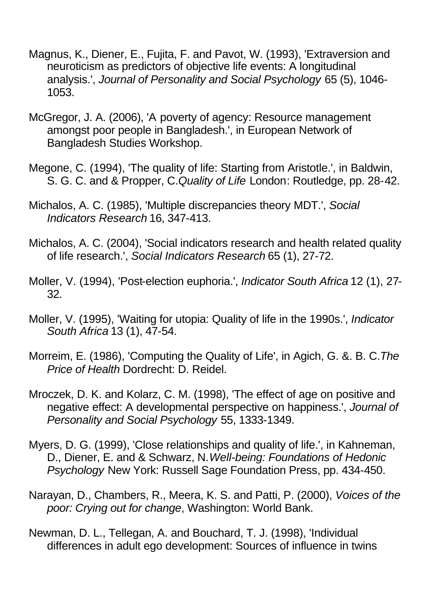- Magnus, K., Diener, E., Fujita, F. and Pavot, W. (1993), 'Extraversion and neuroticism as predictors of objective life events: A longitudinal analysis.', *Journal of Personality and Social Psychology* 65 (5), 1046- 1053.
- McGregor, J. A. (2006), 'A poverty of agency: Resource management amongst poor people in Bangladesh.', in European Network of Bangladesh Studies Workshop.
- Megone, C. (1994), 'The quality of life: Starting from Aristotle.', in Baldwin, S. G. C. and & Propper, C.*Quality of Life* London: Routledge, pp. 28-42.
- Michalos, A. C. (1985), 'Multiple discrepancies theory MDT.', *Social Indicators Research* 16, 347-413.
- Michalos, A. C. (2004), 'Social indicators research and health related quality of life research.', *Social Indicators Research* 65 (1), 27-72.
- Moller, V. (1994), 'Post-election euphoria.', *Indicator South Africa* 12 (1), 27- 32.
- Moller, V. (1995), 'Waiting for utopia: Quality of life in the 1990s.', *Indicator South Africa* 13 (1), 47-54.
- Morreim, E. (1986), 'Computing the Quality of Life', in Agich, G. &. B. C.*The Price of Health* Dordrecht: D. Reidel.
- Mroczek, D. K. and Kolarz, C. M. (1998), 'The effect of age on positive and negative effect: A developmental perspective on happiness.', *Journal of Personality and Social Psychology* 55, 1333-1349.
- Myers, D. G. (1999), 'Close relationships and quality of life.', in Kahneman, D., Diener, E. and & Schwarz, N.*Well-being: Foundations of Hedonic Psychology* New York: Russell Sage Foundation Press, pp. 434-450.
- Narayan, D., Chambers, R., Meera, K. S. and Patti, P. (2000), *Voices of the poor: Crying out for change*, Washington: World Bank.
- Newman, D. L., Tellegan, A. and Bouchard, T. J. (1998), 'Individual differences in adult ego development: Sources of influence in twins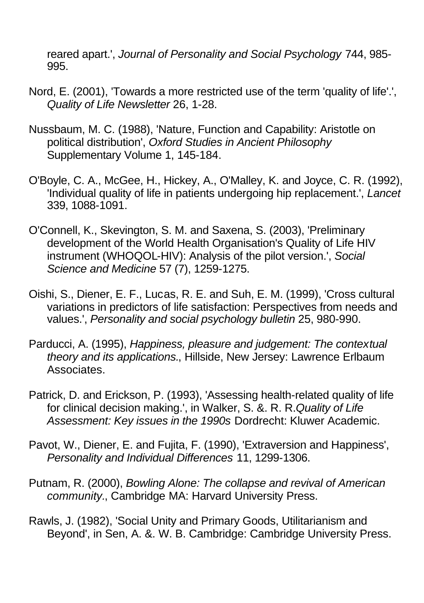reared apart.', *Journal of Personality and Social Psychology* 744, 985- 995.

- Nord, E. (2001), 'Towards a more restricted use of the term 'quality of life'.', *Quality of Life Newsletter* 26, 1-28.
- Nussbaum, M. C. (1988), 'Nature, Function and Capability: Aristotle on political distribution', *Oxford Studies in Ancient Philosophy* Supplementary Volume 1, 145-184.
- O'Boyle, C. A., McGee, H., Hickey, A., O'Malley, K. and Joyce, C. R. (1992), 'Individual quality of life in patients undergoing hip replacement.', *Lancet* 339, 1088-1091.
- O'Connell, K., Skevington, S. M. and Saxena, S. (2003), 'Preliminary development of the World Health Organisation's Quality of Life HIV instrument (WHOQOL-HIV): Analysis of the pilot version.', *Social Science and Medicine* 57 (7), 1259-1275.
- Oishi, S., Diener, E. F., Lucas, R. E. and Suh, E. M. (1999), 'Cross cultural variations in predictors of life satisfaction: Perspectives from needs and values.', *Personality and social psychology bulletin* 25, 980-990.
- Parducci, A. (1995), *Happiness, pleasure and judgement: The contextual theory and its applications.*, Hillside, New Jersey: Lawrence Erlbaum Associates.
- Patrick, D. and Erickson, P. (1993), 'Assessing health-related quality of life for clinical decision making.', in Walker, S. &. R. R.*Quality of Life Assessment: Key issues in the 1990s* Dordrecht: Kluwer Academic.
- Pavot, W., Diener, E. and Fujita, F. (1990), 'Extraversion and Happiness', *Personality and Individual Differences* 11, 1299-1306.
- Putnam, R. (2000), *Bowling Alone: The collapse and revival of American community.*, Cambridge MA: Harvard University Press.
- Rawls, J. (1982), 'Social Unity and Primary Goods, Utilitarianism and Beyond', in Sen, A. &. W. B. Cambridge: Cambridge University Press.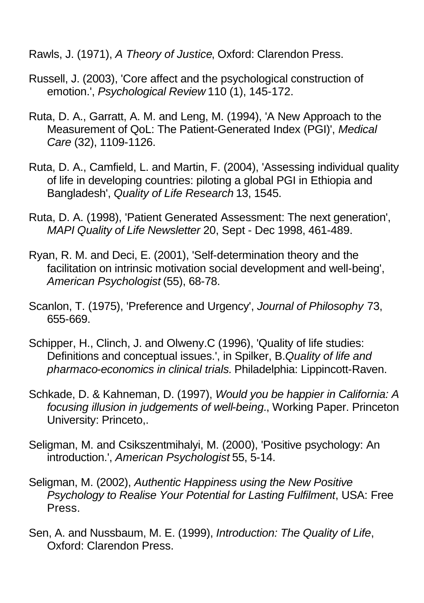Rawls, J. (1971), *A Theory of Justice*, Oxford: Clarendon Press.

- Russell, J. (2003), 'Core affect and the psychological construction of emotion.', *Psychological Review* 110 (1), 145-172.
- Ruta, D. A., Garratt, A. M. and Leng, M. (1994), 'A New Approach to the Measurement of QoL: The Patient-Generated Index (PGI)', *Medical Care* (32), 1109-1126.
- Ruta, D. A., Camfield, L. and Martin, F. (2004), 'Assessing individual quality of life in developing countries: piloting a global PGI in Ethiopia and Bangladesh', *Quality of Life Research* 13, 1545.
- Ruta, D. A. (1998), 'Patient Generated Assessment: The next generation', *MAPI Quality of Life Newsletter* 20, Sept - Dec 1998, 461-489.
- Ryan, R. M. and Deci, E. (2001), 'Self-determination theory and the facilitation on intrinsic motivation social development and well-being', *American Psychologist* (55), 68-78.
- Scanlon, T. (1975), 'Preference and Urgency', *Journal of Philosophy* 73, 655-669.
- Schipper, H., Clinch, J. and Olweny.C (1996), 'Quality of life studies: Definitions and conceptual issues.', in Spilker, B.*Quality of life and pharmaco-economics in clinical trials.* Philadelphia: Lippincott-Raven.
- Schkade, D. & Kahneman, D. (1997), *Would you be happier in California: A focusing illusion in judgements of well-being.*, Working Paper. Princeton University: Princeto,.
- Seligman, M. and Csikszentmihalyi, M. (2000), 'Positive psychology: An introduction.', *American Psychologist* 55, 5-14.
- Seligman, M. (2002), *Authentic Happiness using the New Positive Psychology to Realise Your Potential for Lasting Fulfilment*, USA: Free Press.
- Sen, A. and Nussbaum, M. E. (1999), *Introduction: The Quality of Life*, Oxford: Clarendon Press.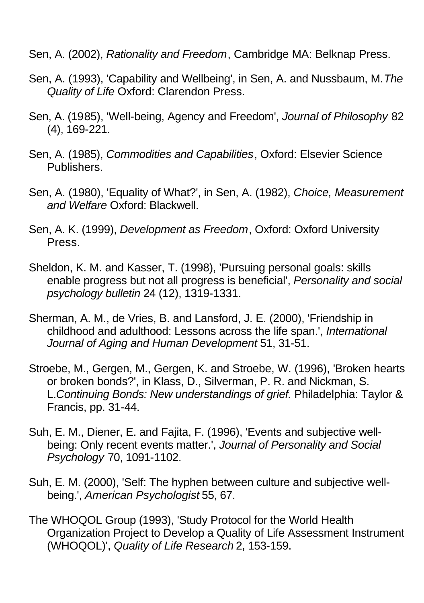Sen, A. (2002), *Rationality and Freedom*, Cambridge MA: Belknap Press.

- Sen, A. (1993), 'Capability and Wellbeing', in Sen, A. and Nussbaum, M.*The Quality of Life* Oxford: Clarendon Press.
- Sen, A. (1985), 'Well-being, Agency and Freedom', *Journal of Philosophy* 82 (4), 169-221.
- Sen, A. (1985), *Commodities and Capabilities*, Oxford: Elsevier Science Publishers.
- Sen, A. (1980), 'Equality of What?', in Sen, A. (1982), *Choice, Measurement and Welfare* Oxford: Blackwell.
- Sen, A. K. (1999), *Development as Freedom*, Oxford: Oxford University Press.
- Sheldon, K. M. and Kasser, T. (1998), 'Pursuing personal goals: skills enable progress but not all progress is beneficial', *Personality and social psychology bulletin* 24 (12), 1319-1331.
- Sherman, A. M., de Vries, B. and Lansford, J. E. (2000), 'Friendship in childhood and adulthood: Lessons across the life span.', *International Journal of Aging and Human Development* 51, 31-51.
- Stroebe, M., Gergen, M., Gergen, K. and Stroebe, W. (1996), 'Broken hearts or broken bonds?', in Klass, D., Silverman, P. R. and Nickman, S. L.*Continuing Bonds: New understandings of grief.* Philadelphia: Taylor & Francis, pp. 31-44.
- Suh, E. M., Diener, E. and Fajita, F. (1996), 'Events and subjective wellbeing: Only recent events matter.', *Journal of Personality and Social Psychology* 70, 1091-1102.
- Suh, E. M. (2000), 'Self: The hyphen between culture and subjective wellbeing.', *American Psychologist* 55, 67.
- The WHOQOL Group (1993), 'Study Protocol for the World Health Organization Project to Develop a Quality of Life Assessment Instrument (WHOQOL)', *Quality of Life Research* 2, 153-159.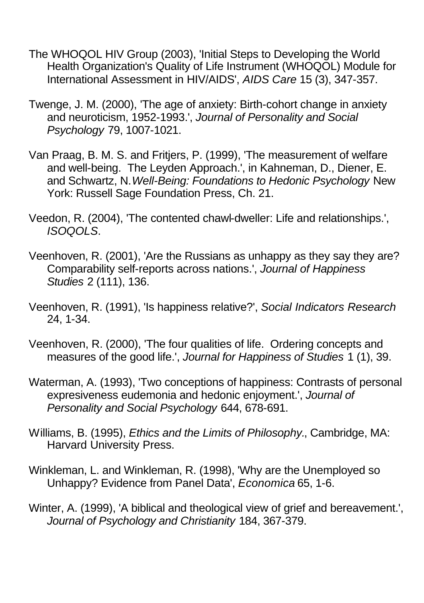- The WHOQOL HIV Group (2003), 'Initial Steps to Developing the World Health Organization's Quality of Life Instrument (WHOQOL) Module for International Assessment in HIV/AIDS', *AIDS Care* 15 (3), 347-357.
- Twenge, J. M. (2000), 'The age of anxiety: Birth-cohort change in anxiety and neuroticism, 1952-1993.', *Journal of Personality and Social Psychology* 79, 1007-1021.
- Van Praag, B. M. S. and Fritjers, P. (1999), 'The measurement of welfare and well-being. The Leyden Approach.', in Kahneman, D., Diener, E. and Schwartz, N.*Well-Being: Foundations to Hedonic Psychology* New York: Russell Sage Foundation Press, Ch. 21.
- Veedon, R. (2004), 'The contented chawl-dweller: Life and relationships.', *ISOQOLS*.
- Veenhoven, R. (2001), 'Are the Russians as unhappy as they say they are? Comparability self-reports across nations.', *Journal of Happiness Studies* 2 (111), 136.
- Veenhoven, R. (1991), 'Is happiness relative?', *Social Indicators Research* 24, 1-34.
- Veenhoven, R. (2000), 'The four qualities of life. Ordering concepts and measures of the good life.', *Journal for Happiness of Studies* 1 (1), 39.
- Waterman, A. (1993), 'Two conceptions of happiness: Contrasts of personal expresiveness eudemonia and hedonic enjoyment.', *Journal of Personality and Social Psychology* 644, 678-691.
- Williams, B. (1995), *Ethics and the Limits of Philosophy.*, Cambridge, MA: Harvard University Press.
- Winkleman, L. and Winkleman, R. (1998), 'Why are the Unemployed so Unhappy? Evidence from Panel Data', *Economica* 65, 1-6.
- Winter, A. (1999), 'A biblical and theological view of grief and bereavement.', *Journal of Psychology and Christianity* 184, 367-379.